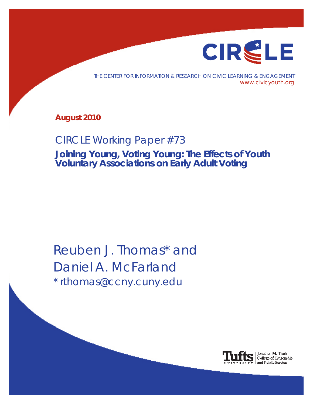

THE CENTER FOR INFORMATION & RESEARCH ON CIVIC LEARNING & ENGAGEMENT www.civicyouth.org

**August 2010**

# CIRCLE Working Paper #73

**Joining Young, Voting Young: The Effects of Youth Voluntary Associations on Early Adult Voting**

Reuben J. Thomas\* and Daniel A. McFarland \* rthomas@ccny.cuny.edu



Jonathan M. Tisch<br>College of Citizenship and Public Service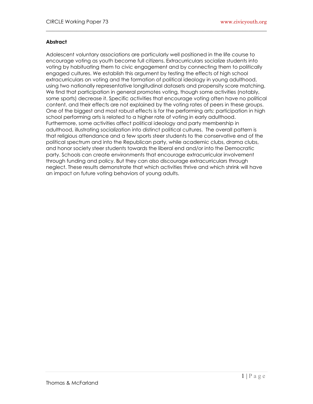# **Abstract**

Adolescent voluntary associations are particularly well positioned in the life course to encourage voting as youth become full citizens. Extracurriculars socialize students into voting by habituating them to civic engagement and by connecting them to politically engaged cultures. We establish this argument by testing the effects of high school extracurriculars on voting and the formation of political ideology in young adulthood, using two nationally representative longitudinal datasets and propensity score matching. We find that participation in general promotes voting, though some activities (notably, some sports) decrease it. Specific activities that encourage voting often have no political content, and their effects are not explained by the voting rates of peers in these groups. One of the biggest and most robust effects is for the performing arts: participation in high school performing arts is related to a higher rate of voting in early adulthood. Furthermore, some activities affect political ideology and party membership in adulthood, illustrating socialization into distinct political cultures. The overall pattern is that religious attendance and a few sports steer students to the conservative end of the political spectrum and into the Republican party, while academic clubs, drama clubs, and honor society steer students towards the liberal end and/or into the Democratic party. Schools can create environments that encourage extracurricular involvement through funding and policy. But they can also discourage extracurriculars through neglect. These results demonstrate that which activities thrive and which shrink will have an impact on future voting behaviors of young adults.

 $\_$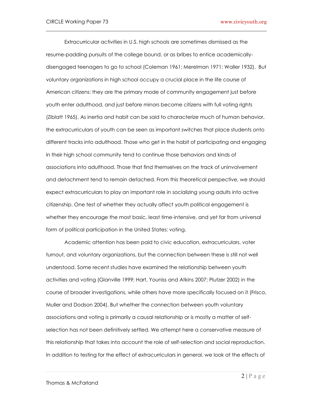Extracurricular activities in U.S. high schools are sometimes dismissed as the resume-padding pursuits of the college bound, or as bribes to entice academicallydisengaged teenagers to go to school (Coleman 1961; Merelman 1971; Waller 1932). But voluntary organizations in high school occupy a crucial place in the life course of American citizens: they are the primary mode of community engagement just before youth enter adulthood, and just before minors become citizens with full voting rights (Ziblatt 1965). As inertia and habit can be said to characterize much of human behavior, the extracurriculars of youth can be seen as important switches that place students onto different tracks into adulthood. Those who get in the habit of participating and engaging in their high school community tend to continue those behaviors and kinds of associations into adulthood. Those that find themselves on the track of uninvolvement and detachment tend to remain detached. From this theoretical perspective, we should expect extracurriculars to play an important role in socializing young adults into active citizenship. One test of whether they actually affect youth political engagement is whether they encourage the most basic, least time-intensive, and yet far from universal form of political participation in the United States: voting.

 $\_$ 

 Academic attention has been paid to civic education, extracurriculars, voter turnout, and voluntary organizations, but the connection between these is still not well understood. Some recent studies have examined the relationship between youth activities and voting (Glanville 1999; Hart, Youniss and Atkins 2007; Plutzer 2002) in the course of broader investigations, while others have more specifically focused on it (Frisco, Muller and Dodson 2004). But whether the connection between youth voluntary associations and voting is primarily a causal relationship or is mostly a matter of selfselection has not been definitively settled. We attempt here a conservative measure of this relationship that takes into account the role of self-selection and social reproduction. In addition to testing for the effect of extracurriculars in general, we look at the effects of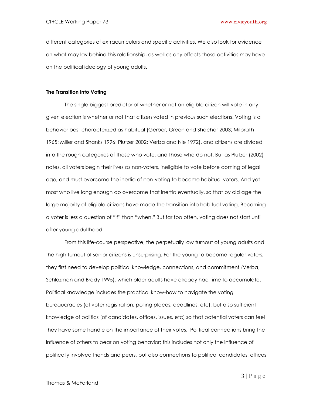different categories of extracurriculars and specific activities. We also look for evidence on what may lay behind this relationship, as well as any effects these activities may have on the political ideology of young adults.

 $\_$ 

## **The Transition into Voting**

 The single biggest predictor of whether or not an eligible citizen will vote in any given election is whether or not that citizen voted in previous such elections. Voting is a behavior best characterized as habitual (Gerber, Green and Shachar 2003; Milbrath 1965; Miller and Shanks 1996; Plutzer 2002; Verba and Nie 1972), and citizens are divided into the rough categories of those who vote, and those who do not. But as Plutzer (2002) notes, all voters begin their lives as non-voters, ineligible to vote before coming of legal age, and must overcome the inertia of non-voting to become habitual voters. And yet most who live long enough do overcome that inertia eventually, so that by old age the large majority of eligible citizens have made the transition into habitual voting. Becoming a voter is less a question of "if" than "when." But far too often, voting does not start until after young adulthood.

 From this life-course perspective, the perpetually low turnout of young adults and the high turnout of senior citizens is unsurprising. For the young to become regular voters, they first need to develop political knowledge, connections, and commitment (Verba, Schlozman and Brady 1995), which older adults have already had time to accumulate. Political knowledge includes the practical know-how to navigate the voting bureaucracies (of voter registration, polling places, deadlines, etc), but also sufficient knowledge of politics (of candidates, offices, issues, etc) so that potential voters can feel they have some handle on the importance of their votes. Political connections bring the influence of others to bear on voting behavior; this includes not only the influence of politically involved friends and peers, but also connections to political candidates, offices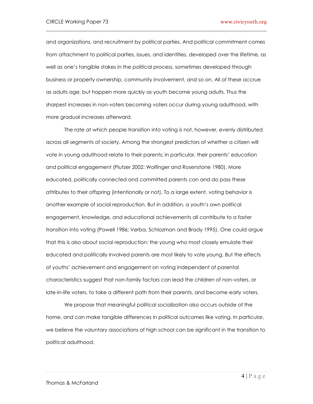and organizations, and recruitment by political parties. And political commitment comes from attachment to political parties, issues, and identities, developed over the lifetime, as well as one"s tangible stakes in the political process, sometimes developed through business or property ownership, community involvement, and so on. All of these accrue as adults age, but happen more quickly as youth become young adults. Thus the sharpest increases in non-voters becoming voters occur during young adulthood, with more gradual increases afterward.

 $\_$ 

The rate at which people transition into voting is not, however, evenly distributed across all segments of society. Among the strongest predictors of whether a citizen will vote in young adulthood relate to their parents; in particular, their parents" education and political engagement (Plutzer 2002; Wolfinger and Rosenstone 1980). More educated, politically connected and committed parents can and do pass these attributes to their offspring (intentionally or not). To a large extent, voting behavior is another example of social reproduction. But in addition, a youth"s own political engagement, knowledge, and educational achievements all contribute to a faster transition into voting (Powell 1986; Verba, Schlozman and Brady 1995). One could argue that this is also about social reproduction: the young who most closely emulate their educated and politically involved parents are most likely to vote young. But the effects of youths" achievement and engagement on voting independent of parental characteristics suggest that non-family factors can lead the children of non-voters, or late-in-life voters, to take a different path from their parents, and become early voters.

 We propose that meaningful political socialization also occurs outside of the home, and can make tangible differences in political outcomes like voting. In particular, we believe the voluntary associations of high school can be significant in the transition to political adulthood.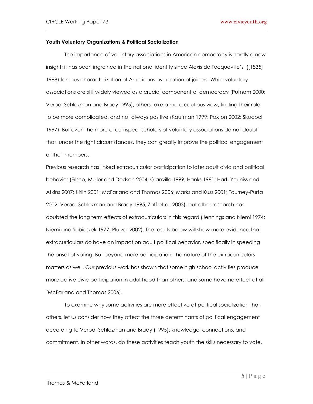## **Youth Voluntary Organizations & Political Socialization**

 The importance of voluntary associations in American democracy is hardly a new insight; it has been ingrained in the national identity since Alexis de Tocqueville's ([1835] 1988) famous characterization of Americans as a nation of joiners. While voluntary associations are still widely viewed as a crucial component of democracy (Putnam 2000; Verba, Schlozman and Brady 1995), others take a more cautious view, finding their role to be more complicated, and not always positive (Kaufman 1999; Paxton 2002; Skocpol 1997). But even the more circumspect scholars of voluntary associations do not doubt that, under the right circumstances, they can greatly improve the political engagement of their members.

 $\_$ 

Previous research has linked extracurricular participation to later adult civic and political behavior (Frisco, Muller and Dodson 2004; Glanville 1999; Hanks 1981; Hart, Youniss and Atkins 2007; Kirlin 2001; McFarland and Thomas 2006; Marks and Kuss 2001; Tourney-Purta 2002; Verba, Schlozman and Brady 1995; Zaff et al. 2003), but other research has doubted the long term effects of extracurriculars in this regard (Jennings and Niemi 1974; Niemi and Sobieszek 1977; Plutzer 2002). The results below will show more evidence that extracurriculars do have an impact on adult political behavior, specifically in speeding the onset of voting. But beyond mere participation, the nature of the extracurriculars matters as well. Our previous work has shown that some high school activities produce more active civic participation in adulthood than others, and some have no effect at all (McFarland and Thomas 2006).

 To examine why some activities are more effective at political socialization than others, let us consider how they affect the three determinants of political engagement according to Verba, Schlozman and Brady (1995): knowledge, connections, and commitment. In other words, do these activities teach youth the skills necessary to vote,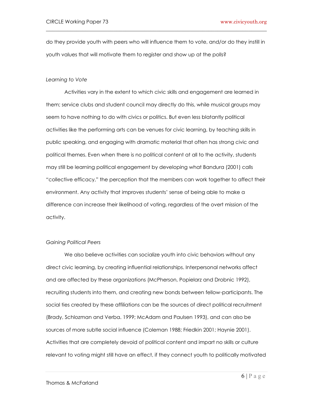do they provide youth with peers who will influence them to vote, and/or do they instill in youth values that will motivate them to register and show up at the polls?

 $\_$ 

#### *Learning to Vote*

 Activities vary in the extent to which civic skills and engagement are learned in them; service clubs and student council may directly do this, while musical groups may seem to have nothing to do with civics or politics. But even less blatantly political activities like the performing arts can be venues for civic learning, by teaching skills in public speaking, and engaging with dramatic material that often has strong civic and political themes. Even when there is no political content at all to the activity, students may still be learning political engagement by developing what Bandura (2001) calls "collective efficacy," the perception that the members can work together to affect their environment. Any activity that improves students" sense of being able to make a difference can increase their likelihood of voting, regardless of the overt mission of the activity.

#### *Gaining Political Peers*

 We also believe activities can socialize youth into civic behaviors without any direct civic learning, by creating influential relationships. Interpersonal networks affect and are affected by these organizations (McPherson, Popielarz and Drobnic 1992), recruiting students into them, and creating new bonds between fellow-participants. The social ties created by these affiliations can be the sources of direct political recruitment (Brady, Schlozman and Verba. 1999; McAdam and Paulsen 1993), and can also be sources of more subtle social influence (Coleman 1988; Friedkin 2001; Haynie 2001). Activities that are completely devoid of political content and impart no skills or culture relevant to voting might still have an effect, if they connect youth to politically motivated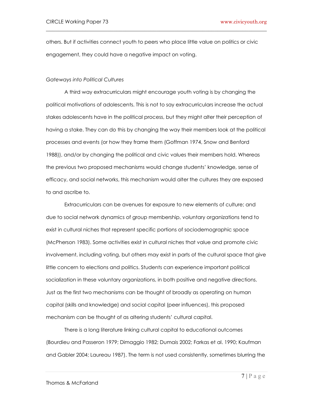others. But if activities connect youth to peers who place little value on politics or civic engagement, they could have a negative impact on voting.

 $\_$ 

#### *Gateways into Political Cultures*

A third way extracurriculars might encourage youth voting is by changing the political motivations of adolescents. This is not to say extracurriculars increase the actual stakes adolescents have in the political process, but they might alter their perception of having a stake. They can do this by changing the way their members look at the political processes and events (or how they frame them (Goffman 1974, Snow and Benford 1988)), and/or by changing the political and civic values their members hold. Whereas the previous two proposed mechanisms would change students" knowledge, sense of efficacy, and social networks, this mechanism would alter the cultures they are exposed to and ascribe to.

 Extracurriculars can be avenues for exposure to new elements of culture; and due to social network dynamics of group membership, voluntary organizations tend to exist in cultural niches that represent specific portions of sociodemographic space (McPherson 1983). Some activities exist in cultural niches that value and promote civic involvement, including voting, but others may exist in parts of the cultural space that give little concern to elections and politics. Students can experience important political socialization in these voluntary organizations, in both positive and negative directions. Just as the first two mechanisms can be thought of broadly as operating on human capital (skills and knowledge) and social capital (peer influences), this proposed mechanism can be thought of as altering students" cultural capital.

 There is a long literature linking cultural capital to educational outcomes (Bourdieu and Passeron 1979; Dimaggio 1982; Dumais 2002; Farkas et al. 1990; Kaufman and Gabler 2004; Laureau 1987). The term is not used consistently, sometimes blurring the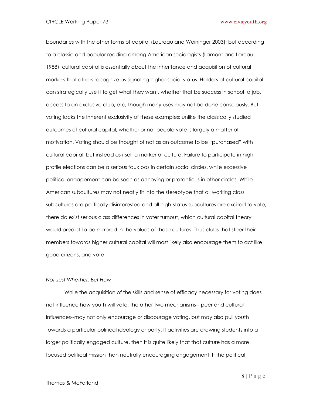boundaries with the other forms of capital (Laureau and Weininger 2003); but according to a classic and popular reading among American sociologists (Lamont and Lareau 1988), cultural capital is essentially about the inheritance and acquisition of cultural markers that others recognize as signaling higher social status. Holders of cultural capital can strategically use it to get what they want, whether that be success in school, a job, access to an exclusive club, etc, though many uses may not be done consciously. But voting lacks the inherent exclusivity of these examples: unlike the classically studied outcomes of cultural capital, whether or not people vote is largely a matter of motivation. Voting should be thought of not as an outcome to be "purchased" with cultural capital, but instead as itself a marker of culture. Failure to participate in high profile elections can be a serious faux pas in certain social circles, while excessive political engagement can be seen as annoying or pretentious in other circles. While American subcultures may not neatly fit into the stereotype that all working class subcultures are politically disinterested and all high-status subcultures are excited to vote, there do exist serious class differences in voter turnout, which cultural capital theory would predict to be mirrored in the values of those cultures. Thus clubs that steer their members towards higher cultural capital will most likely also encourage them to act like good citizens, and vote.

 $\_$ 

#### *Not Just Whether, But How*

While the acquisition of the skills and sense of efficacy necessary for voting does not influence how youth will vote, the other two mechanisms-- peer and cultural influences--may not only encourage or discourage voting, but may also pull youth towards a particular political ideology or party. If activities are drawing students into a larger politically engaged culture, then it is quite likely that that culture has a more focused political mission than neutrally encouraging engagement. If the political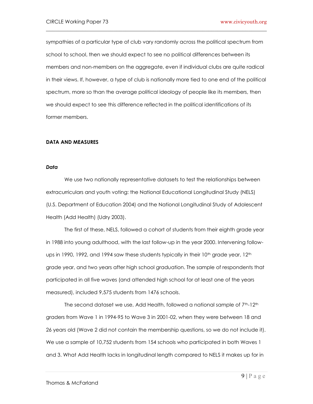sympathies of a particular type of club vary randomly across the political spectrum from school to school, then we should expect to see no political differences between its members and non-members on the aggregate, even if individual clubs are quite radical in their views. If, however, a type of club is nationally more tied to one end of the political spectrum, more so than the average political ideology of people like its members, then we should expect to see this difference reflected in the political identifications of its former members.

 $\_$ 

#### **DATA AND MEASURES**

#### *Data*

We use two nationally representative datasets to test the relationships between extracurriculars and youth voting: the National Educational Longitudinal Study (NELS) (U.S. Department of Education 2004) and the National Longitudinal Study of Adolescent Health (Add Health) (Udry 2003).

The first of these, NELS, followed a cohort of students from their eighth grade year in 1988 into young adulthood, with the last follow-up in the year 2000. Intervening followups in 1990, 1992, and 1994 saw these students typically in their  $10<sup>th</sup>$  grade year,  $12<sup>th</sup>$ grade year, and two years after high school graduation. The sample of respondents that participated in all five waves (and attended high school for at least one of the years measured), included 9,575 students from 1476 schools.

The second dataset we use, Add Health, followed a national sample of 7<sup>th</sup>-12<sup>th</sup> graders from Wave 1 in 1994-95 to Wave 3 in 2001-02, when they were between 18 and 26 years old (Wave 2 did not contain the membership questions, so we do not include it). We use a sample of 10,752 students from 154 schools who participated in both Waves 1 and 3. What Add Health lacks in longitudinal length compared to NELS it makes up for in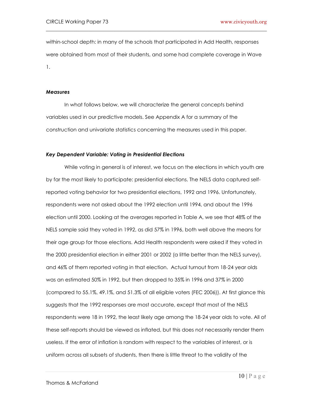within-school depth: in many of the schools that participated in Add Health, responses were obtained from most of their students, and some had complete coverage in Wave 1.

 $\_$ 

#### *Measures*

 In what follows below, we will characterize the general concepts behind variables used in our predictive models. See Appendix A for a summary of the construction and univariate statistics concerning the measures used in this paper.

# *Key Dependent Variable: Voting in Presidential Elections*

 While voting in general is of interest, we focus on the elections in which youth are by far the most likely to participate: presidential elections. The NELS data captured selfreported voting behavior for two presidential elections, 1992 and 1996. Unfortunately, respondents were not asked about the 1992 election until 1994, and about the 1996 election until 2000. Looking at the averages reported in Table A, we see that 48% of the NELS sample said they voted in 1992, as did 57% in 1996, both well above the means for their age group for those elections. Add Health respondents were asked if they voted in the 2000 presidential election in either 2001 or 2002 (a little better than the NELS survey), and 46% of them reported voting in that election. Actual turnout from 18-24 year olds was an estimated 50% in 1992, but then dropped to 35% in 1996 and 37% in 2000 (compared to 55.1%, 49.1%, and 51.3% of all eligible voters (FEC 2006)). At first glance this suggests that the 1992 responses are most accurate, except that most of the NELS respondents were 18 in 1992, the least likely age among the 18-24 year olds to vote. All of these self-reports should be viewed as inflated, but this does not necessarily render them useless. If the error of inflation is random with respect to the variables of interest, or is uniform across all subsets of students, then there is little threat to the validity of the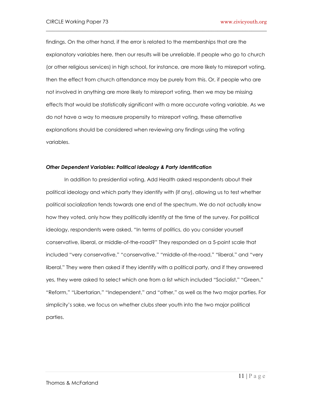findings. On the other hand, if the error is related to the memberships that are the explanatory variables here, then our results will be unreliable. If people who go to church (or other religious services) in high school, for instance, are more likely to misreport voting, then the effect from church attendance may be purely from this. Or, if people who are not involved in anything are more likely to misreport voting, then we may be missing effects that would be statistically significant with a more accurate voting variable. As we do not have a way to measure propensity to misreport voting, these alternative explanations should be considered when reviewing any findings using the voting variables.

 $\_$ 

# *Other Dependent Variables: Political Ideology & Party Identification*

 In addition to presidential voting, Add Health asked respondents about their political ideology and which party they identify with (if any), allowing us to test whether political socialization tends towards one end of the spectrum. We do not actually know how they voted, only how they politically identify at the time of the survey. For political ideology, respondents were asked, "In terms of politics, do you consider yourself conservative, liberal, or middle-of-the-road?" They responded on a 5-point scale that included "very conservative," "conservative," "middle-of-the-road," "liberal," and "very liberal." They were then asked if they identify with a political party, and if they answered yes, they were asked to select which one from a list which included "Socialist," "Green," "Reform," "Libertarian," "Independent," and "other," as well as the two major parties. For simplicity"s sake, we focus on whether clubs steer youth into the two major political parties.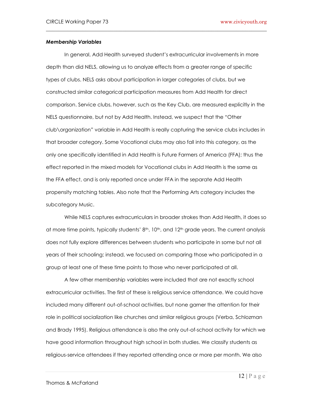# *Membership Variables*

 In general, Add Health surveyed student"s extracurricular involvements in more depth than did NELS, allowing us to analyze effects from a greater range of specific types of clubs. NELS asks about participation in larger categories of clubs, but we constructed similar categorical participation measures from Add Health for direct comparison. Service clubs, however, such as the Key Club, are measured explicitly in the NELS questionnaire, but not by Add Health. Instead, we suspect that the "Other club\organization" variable in Add Health is really capturing the service clubs includes in that broader category. Some Vocational clubs may also fall into this category, as the only one specifically identified in Add Health is Future Farmers of America (FFA); thus the effect reported in the mixed models for Vocational clubs in Add Health is the same as the FFA effect, and is only reported once under FFA in the separate Add Health propensity matching tables. Also note that the Performing Arts category includes the subcategory Music.

 $\_$ 

 While NELS captures extracurriculars in broader strokes than Add Health, it does so at more time points, typically students'  $8<sup>th</sup>$ , 10<sup>th</sup>, and 12<sup>th</sup> grade years. The current analysis does not fully explore differences between students who participate in some but not all years of their schooling; instead, we focused on comparing those who participated in a group at least one of these time points to those who never participated at all.

A few other membership variables were included that are not exactly school extracurricular activities. The first of these is religious service attendance. We could have included many different out-of-school activities, but none garner the attention for their role in political socialization like churches and similar religious groups (Verba, Schlozman and Brady 1995). Religious attendance is also the only out-of-school activity for which we have good information throughout high school in both studies. We classify students as religious-service attendees if they reported attending once or more per month. We also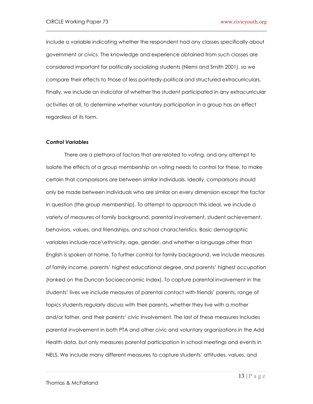include a variable indicating whether the respondent had any classes specifically about government or civics. The knowledge and experience obtained from such classes are considered important for politically socializing students (Niemi and Smith 2001), so we compare their effects to those of less pointedly-political and structured extracurriculars. Finally, we include an indicator of whether the student participated in any extracurricular activities at all, to determine whether voluntary participation in a group has an effect regardless of its form.

 $\_$ 

#### *Control Variables*

 There are a plethora of factors that are related to voting, and any attempt to isolate the effects of a group membership on voting needs to control for these, to make certain that comparisons are between similar individuals. Ideally, comparisons should only be made between individuals who are similar on every dimension except the factor in question (the group membership). To attempt to approach this ideal, we include a variety of measures of family background, parental involvement, student achievement, behaviors, values, and friendships, and school characteristics. Basic demographic variables include race\ethnicity, age, gender, and whether a language other than English is spoken at home. To further control for family background, we include measures of family income, parents" highest educational degree, and parents" highest occupation (ranked on the Duncan Socioeconomic Index). To capture parental involvement in the students" lives we include measures of parental contact with friends" parents, range of topics students regularly discuss with their parents, whether they live with a mother and/or father, and their parents' civic involvement. The last of these measures includes parental involvement in both PTA and other civic and voluntary organizations in the Add Health data, but only measures parental participation in school meetings and events in NELS. We include many different measures to capture students" attitudes, values, and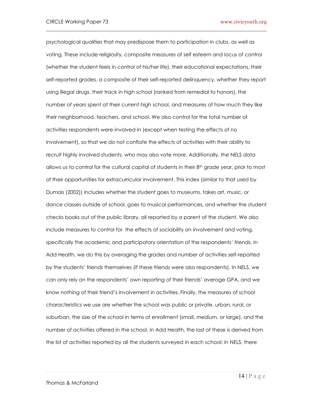psychological qualities that may predispose them to participation in clubs, as well as voting. These include religiosity, composite measures of self esteem and locus of control (whether the student feels in control of his/her life), their educational expectations, their self-reported grades, a composite of their self-reported delinquency, whether they report using illegal drugs, their track in high school (ranked from remedial to honors), the number of years spent at their current high school, and measures of how much they like their neighborhood, teachers, and school. We also control for the total number of activities respondents were involved in (except when testing the effects of no involvement), so that we do not conflate the effects of activities with their ability to recruit highly involved students, who may also vote more. Additionally, the NELS data allows us to control for the cultural capital of students in their 8th grade year, prior to most of their opportunities for extracurricular involvement. This index (similar to that used by Dumais (2002)) includes whether the student goes to museums, takes art, music, or dance classes outside of school, goes to musical performances, and whether the student checks books out of the public library, all reported by a parent of the student. We also include measures to control for the effects of sociability on involvement and voting, specifically the academic and participatory orientation of the respondents" friends. In Add Health, we do this by averaging the grades and number of activities self-reported by the students" friends themselves (if these friends were also respondents). In NELS, we can only rely on the respondents" own reporting of their friends" average GPA, and we know nothing of their friend"s involvement in activities. Finally, the measures of school characteristics we use are whether the school was public or private, urban, rural, or suburban, the size of the school in terms of enrollment (small, medium, or large), and the number of activities offered in the school. In Add Health, the last of these is derived from the list of activities reported by all the students surveyed in each school; in NELS, there

 $\_$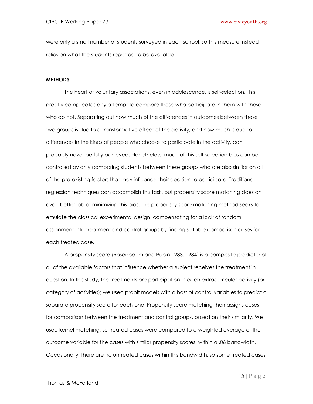were only a small number of students surveyed in each school, so this measure instead relies on what the students reported to be available.

 $\_$ 

#### **METHODS**

 The heart of voluntary associations, even in adolescence, is self-selection. This greatly complicates any attempt to compare those who participate in them with those who do not. Separating out how much of the differences in outcomes between these two groups is due to a transformative effect of the activity, and how much is due to differences in the kinds of people who choose to participate in the activity, can probably never be fully achieved. Nonetheless, much of this self-selection bias can be controlled by only comparing students between these groups who are also similar on all of the pre-existing factors that may influence their decision to participate. Traditional regression techniques can accomplish this task, but propensity score matching does an even better job of minimizing this bias. The propensity score matching method seeks to emulate the classical experimental design, compensating for a lack of random assignment into treatment and control groups by finding suitable comparison cases for each treated case.

 A propensity score (Rosenbaum and Rubin 1983, 1984) is a composite predictor of all of the available factors that influence whether a subject receives the treatment in question. In this study, the treatments are participation in each extracurricular activity (or category of activities); we used probit models with a host of control variables to predict a separate propensity score for each one. Propensity score matching then assigns cases for comparison between the treatment and control groups, based on their similarity. We used kernel matching, so treated cases were compared to a weighted average of the outcome variable for the cases with similar propensity scores, within a .06 bandwidth. Occasionally, there are no untreated cases within this bandwidth, so some treated cases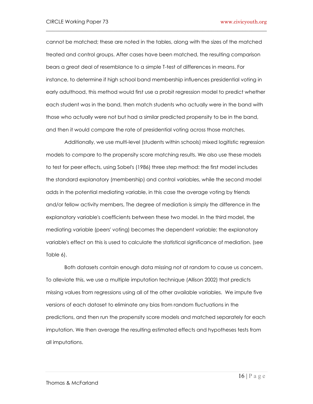cannot be matched; these are noted in the tables, along with the sizes of the matched treated and control groups. After cases have been matched, the resulting comparison bears a great deal of resemblance to a simple T-test of differences in means. For instance, to determine if high school band membership influences presidential voting in early adulthood, this method would first use a probit regression model to predict whether each student was in the band, then match students who actually were in the band with those who actually were not but had a similar predicted propensity to be in the band, and then it would compare the rate of presidential voting across those matches.

 $\_$ 

 Additionally, we use multi-level (students within schools) mixed logitistic regression models to compare to the propensity score matching results. We also use these models to test for peer effects, using Sobel's (1986) three step method: the first model includes the standard explanatory (membership) and control variables, while the second model adds in the potential mediating variable, in this case the average voting by friends and/or fellow activity members, The degree of mediation is simply the difference in the explanatory variable's coefficients between these two model. In the third model, the mediating variable (peers' voting) becomes the dependent variable; the explanatory variable's effect on this is used to calculate the statistical significance of mediation. (see Table 6).

Both datasets contain enough data missing not at random to cause us concern. To alleviate this, we use a multiple imputation technique (Allison 2002) that predicts missing values from regressions using all of the other available variables. We impute five versions of each dataset to eliminate any bias from random fluctuations in the predictions, and then run the propensity score models and matched separately for each imputation. We then average the resulting estimated effects and hypotheses tests from all imputations.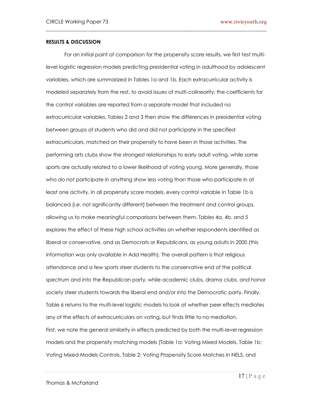# **RESULTS & DISCUSSION**

 For an initial point of comparison for the propensity score results, we first test multilevel logistic regression models predicting presidential voting in adulthood by adolescent variables, which are summarized in Tables 1a and 1b. Each extracurricular activity is modeled separately from the rest, to avoid issues of multi-colinearity; the coefficients for the control variables are reported from a separate model that included no extracurricular variables. Tables 2 and 3 then show the differences in presidential voting between groups of students who did and did not participate in the specified extracurriculars, matched on their propensity to have been in those activities. The performing arts clubs show the strongest relationships to early adult voting, while some sports are actually related to a lower likelihood of voting young. More generally, those who do not participate in anything show less voting than those who participate in at least one activity. In all propensity score models, every control variable in Table 1b is balanced (i.e. not significantly different) between the treatment and control groups, allowing us to make meaningful comparisons between them. Tables 4a, 4b, and 5 explores the effect of these high school activities on whether respondents identified as liberal or conservative, and as Democrats or Republicans, as young adults in 2000 (this information was only available in Add Health). The overall pattern is that religious attendance and a few sports steer students to the conservative end of the political spectrum and into the Republican party, while academic clubs, drama clubs, and honor society steer students towards the liberal end and/or into the Democratic party. Finally, Table 6 returns to the multi-level logistic models to look at whether peer effects mediates any of the effects of extracurriculars on voting, but finds little to no mediation. First, we note the general similarity in effects predicted by both the multi-level regression models and the propensity matching models (Table 1a: Voting Mixed Models, Table 1b: Voting Mixed Models Controls, Table 2: Voting Propensity Score Matches in NELS, and

 $\_$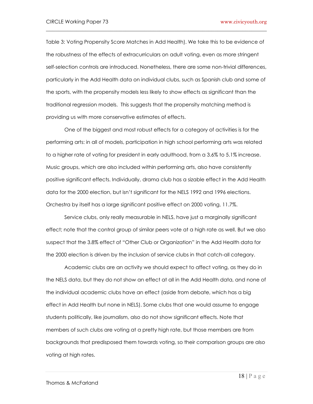Table 3: Voting Propensity Score Matches in Add Health). We take this to be evidence of the robustness of the effects of extracurriculars on adult voting, even as more stringent self-selection controls are introduced. Nonetheless, there are some non-trivial differences, particularly in the Add Health data on individual clubs, such as Spanish club and some of the sports, with the propensity models less likely to show effects as significant than the traditional regression models. This suggests that the propensity matching method is providing us with more conservative estimates of effects.

 $\_$ 

 One of the biggest and most robust effects for a category of activities is for the performing arts: in all of models, participation in high school performing arts was related to a higher rate of voting for president in early adulthood, from a 3.6% to 5.1% increase. Music groups, which are also included within performing arts, also have consistently positive significant effects. Individually, drama club has a sizable effect in the Add Health data for the 2000 election, but isn"t significant for the NELS 1992 and 1996 elections. Orchestra by itself has a large significant positive effect on 2000 voting, 11.7%.

Service clubs, only really measurable in NELS, have just a marginally significant effect; note that the control group of similar peers vote at a high rate as well. But we also suspect that the 3.8% effect of "Other Club or Organization" in the Add Health data for the 2000 election is driven by the inclusion of service clubs in that catch-all category.

Academic clubs are an activity we should expect to affect voting, as they do in the NELS data, but they do not show an effect at all in the Add Health data, and none of the individual academic clubs have an effect (aside from debate, which has a big effect in Add Health but none in NELS). Some clubs that one would assume to engage students politically, like journalism, also do not show significant effects. Note that members of such clubs are voting at a pretty high rate, but those members are from backgrounds that predisposed them towards voting, so their comparison groups are also voting at high rates.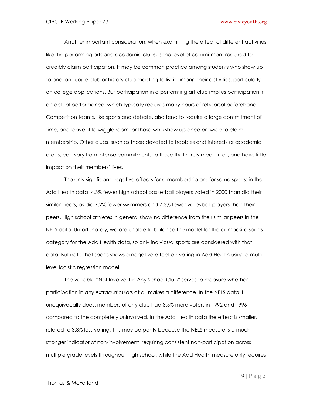Another important consideration, when examining the effect of different activities like the performing arts and academic clubs, is the level of commitment required to credibly claim participation. It may be common practice among students who show up to one language club or history club meeting to list it among their activities, particularly on college applications. But participation in a performing art club implies participation in an actual performance, which typically requires many hours of rehearsal beforehand. Competition teams, like sports and debate, also tend to require a large commitment of time, and leave little wiggle room for those who show up once or twice to claim membership. Other clubs, such as those devoted to hobbies and interests or academic areas, can vary from intense commitments to those that rarely meet at all, and have little impact on their members' lives.

 $\_$ 

The only significant negative effects for a membership are for some sports: in the Add Health data, 4.3% fewer high school basketball players voted in 2000 than did their similar peers, as did 7.2% fewer swimmers and 7.3% fewer volleyball players than their peers. High school athletes in general show no difference from their similar peers in the NELS data. Unfortunately, we are unable to balance the model for the composite sports category for the Add Health data, so only individual sports are considered with that data. But note that sports shows a negative effect on voting in Add Health using a multilevel logistic regression model.

The variable "Not Involved in Any School Club" serves to measure whether participation in any extracurriculars at all makes a difference. In the NELS data it unequivocally does: members of any club had 8.5% more voters in 1992 and 1996 compared to the completely uninvolved. In the Add Health data the effect is smaller, related to 3.8% less voting. This may be partly because the NELS measure is a much stronger indicator of non-involvement, requiring consistent non-participation across multiple grade levels throughout high school, while the Add Health measure only requires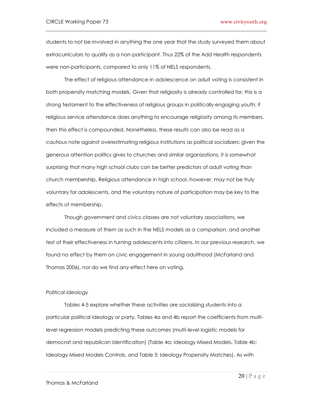students to not be involved in anything the one year that the study surveyed them about extracurriculars to qualify as a non-participant. Thus 22% of the Add Health respondents were non-participants, compared to only 11% of NELS respondents.

 $\_$ 

The effect of religious attendance in adolescence on adult voting is consistent in both propensity matching models. Given that religiosity is already controlled for, this is a strong testament to the effectiveness of religious groups in politically engaging youth: if religious service attendance does anything to encourage religiosity among its members, then this effect is compounded. Nonetheless, these results can also be read as a cautious note against overestimating religious institutions as political socializers: given the generous attention politics gives to churches and similar organizations, it is somewhat surprising that many high school clubs can be better predictors of adult voting than church membership. Religious attendance in high school, however, may not be truly voluntary for adolescents, and the voluntary nature of participation may be key to the effects of membership.

Though government and civics classes are not voluntary associations, we included a measure of them as such in the NELS models as a comparison, and another test of their effectiveness in turning adolescents into citizens. In our previous research, we found no effect by them on civic engagement in young adulthood (McFarland and Thomas 2006), nor do we find any effect here on voting.

# *Political Ideology*

 Tables 4-5 explore whether these activities are socializing students into a particular political ideology or party. Tables 4a and 4b report the coefficients from multilevel regression models predicting these outcomes (multi-level logistic models for democrat and republican identification) (Table 4a: Ideology Mixed Models, Table 4b: Ideology Mixed Models Controls, and Table 5: Ideology Propensity Matches). As with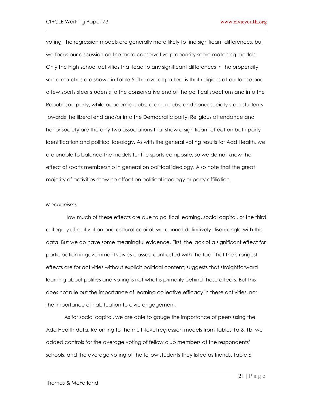voting, the regression models are generally more likely to find significant differences, but we focus our discussion on the more conservative propensity score matching models. Only the high school activities that lead to any significant differences in the propensity score matches are shown in Table 5. The overall pattern is that religious attendance and a few sports steer students to the conservative end of the political spectrum and into the Republican party, while academic clubs, drama clubs, and honor society steer students towards the liberal end and/or into the Democratic party. Religious attendance and honor society are the only two associations that show a significant effect on both party identification and political ideology. As with the general voting results for Add Health, we are unable to balance the models for the sports composite, so we do not know the effect of sports membership in general on political ideology. Also note that the great majority of activities show no effect on political ideology or party affiliation.

 $\_$ 

#### *Mechanisms*

 How much of these effects are due to political learning, social capital, or the third category of motivation and cultural capital, we cannot definitively disentangle with this data. But we do have some meaningful evidence. First, the lack of a significant effect for participation in government\civics classes, contrasted with the fact that the strongest effects are for activities without explicit political content, suggests that straightforward learning about politics and voting is not what is primarily behind these effects. But this does not rule out the importance of learning collective efficacy in these activities, nor the importance of habituation to civic engagement.

 As for social capital, we are able to gauge the importance of peers using the Add Health data. Returning to the multi-level regression models from Tables 1a & 1b, we added controls for the average voting of fellow club members at the respondents" schools, and the average voting of the fellow students they listed as friends. Table 6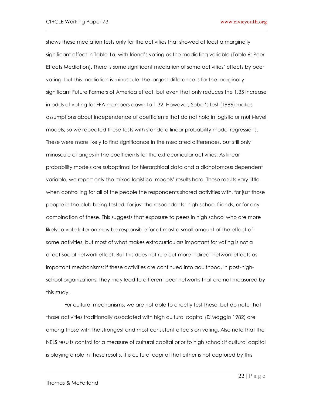shows these mediation tests only for the activities that showed at least a marginally significant effect in Table 1a, with friend"s voting as the mediating variable (Table 6: Peer Effects Mediation). There is some significant mediation of some activities" effects by peer voting, but this mediation is minuscule: the largest difference is for the marginally significant Future Farmers of America effect, but even that only reduces the 1.35 increase in odds of voting for FFA members down to 1.32. However, Sobel"s test (1986) makes assumptions about independence of coefficients that do not hold in logistic or multi-level models, so we repeated these tests with standard linear probability model regressions. These were more likely to find significance in the mediated differences, but still only minuscule changes in the coefficients for the extracurricular activities. As linear probability models are suboptimal for hierarchical data and a dichotomous dependent variable, we report only the mixed logistical models" results here. These results vary little when controlling for all of the people the respondents shared activities with, for just those people in the club being tested, for just the respondents" high school friends, or for any combination of these. This suggests that exposure to peers in high school who are more likely to vote later on may be responsible for at most a small amount of the effect of some activities, but most of what makes extracurriculars important for voting is not a direct social network effect. But this does not rule out more indirect network effects as important mechanisms: if these activities are continued into adulthood, in post-highschool organizations, they may lead to different peer networks that are not measured by this study.

 $\_$ 

 For cultural mechanisms, we are not able to directly test these, but do note that those activities traditionally associated with high cultural capital (DiMaggio 1982) are among those with the strongest and most consistent effects on voting. Also note that the NELS results control for a measure of cultural capital prior to high school; if cultural capital is playing a role in those results, it is cultural capital that either is not captured by this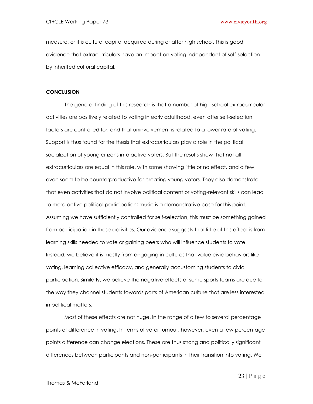measure, or it is cultural capital acquired during or after high school. This is good evidence that extracurriculars have an impact on voting independent of self-selection by inherited cultural capital.

 $\_$ 

# **CONCLUSION**

The general finding of this research is that a number of high school extracurricular activities are positively related to voting in early adulthood, even after self-selection factors are controlled for, and that uninvolvement is related to a lower rate of voting. Support is thus found for the thesis that extracurriculars play a role in the political socialization of young citizens into active voters. But the results show that not all extracurriculars are equal in this role, with some showing little or no effect, and a few even seem to be counterproductive for creating young voters. They also demonstrate that even activities that do not involve political content or voting-relevant skills can lead to more active political participation; music is a demonstrative case for this point. Assuming we have sufficiently controlled for self-selection, this must be something gained from participation in these activities. Our evidence suggests that little of this effect is from learning skills needed to vote or gaining peers who will influence students to vote. Instead, we believe it is mostly from engaging in cultures that value civic behaviors like voting, learning collective efficacy, and generally accustoming students to civic participation. Similarly, we believe the negative effects of some sports teams are due to the way they channel students towards parts of American culture that are less interested in political matters.

Most of these effects are not huge, in the range of a few to several percentage points of difference in voting. In terms of voter turnout, however, even a few percentage points difference can change elections. These are thus strong and politically significant differences between participants and non-participants in their transition into voting. We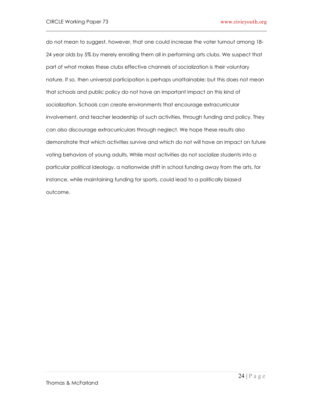do not mean to suggest, however, that one could increase the voter turnout among 18- 24 year olds by 5% by merely enrolling them all in performing arts clubs. We suspect that part of what makes these clubs effective channels of socialization is their voluntary nature. If so, then universal participation is perhaps unattainable; but this does not mean that schools and public policy do not have an important impact on this kind of socialization. Schools can create environments that encourage extracurricular involvement, and teacher leadership of such activities, through funding and policy. They can also discourage extracurriculars through neglect. We hope these results also demonstrate that which activities survive and which do not will have an impact on future voting behaviors of young adults. While most activities do not socialize students into a particular political ideology, a nationwide shift in school funding away from the arts, for instance, while maintaining funding for sports, could lead to a politically biased outcome.

 $\_$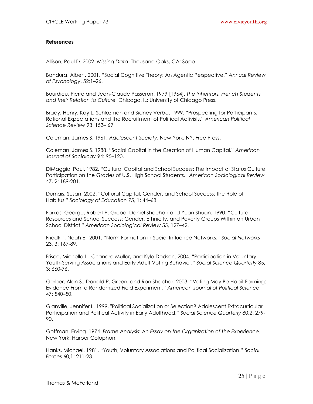# **References**

Allison, Paul D. 2002. *Missing Data*. Thousand Oaks, CA: Sage.

Bandura, Albert. 2001. "Social Cognitive Theory: An Agentic Perspective." *Annual Review of Psychology*, 52:1–26.

 $\_$ 

Bourdieu, Pierre and Jean-Claude Passeron. 1979 [1964]. *The Inheritors, French Students and their Relation to Culture.* Chicago, IL: University of Chicago Press.

Brady, Henry, Kay L. Schlozman and Sidney Verba. 1999. "Prospecting for Participants: Rational Expectations and the Recruitment of Political Activists." *American Political Science Review* 93: 153– 69

Coleman, James S. 1961. *Adolescent Society*. New York, NY: Free Press.

Coleman, James S. 1988. "Social Capital in the Creation of Human Capital." *American Journal of Sociology* 94: 95–120.

DiMaggio, Paul. 1982. "Cultural Capital and School Success: The Impact of Status Culture Participation on the Grades of U.S. High School Students." *American Sociological Review* 47, 2: 189-201.

Dumais, Susan. 2002. "Cultural Capital, Gender, and School Success: the Role of Habitus." *Sociology of Education* 75, 1: 44–68.

Farkas, George, Robert P. Grobe, Daniel Sheehan and Yuan Shuan. 1990. "Cultural Resources and School Success: Gender, Ethnicity, and Poverty Groups Within an Urban School District." *American Sociological Review* 55, 127–42.

Friedkin, Noah E. 2001. "Norm Formation in Social Influence Networks." *Social Networks*  23, 3: 167-89.

Frisco, Michelle L., Chandra Muller, and Kyle Dodson. 2004. "Participation in Voluntary Youth-Serving Associations and Early Adult Voting Behavior." *Social Science Quarterly* 85, 3: 660-76.

Gerber, Alan S., Donald P. Green, and Ron Shachar. 2003. "Voting May Be Habit Forming: Evidence From a Randomized Field Experiment." *American Journal of Political Science*  47: 540–50.

Glanville, Jennifer L. 1999. "Political Socialization or Selection? Adolescent Extracurricular Participation and Political Activity in Early Adulthood." *Social Science Quarterly* 80,2: 279- 90.

Goffman, Erving. 1974. *Frame Analysis: An Essay on the Organization of the Experience.*  New York: Harper Colophon.

Hanks, Michael. 1981. "Youth, Voluntary Associations and Political Socialization." *Social Forces* 60,1: 211-23.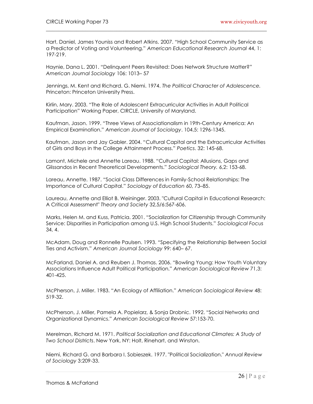Hart, Daniel, James Youniss and Robert Atkins. 2007. "High School Community Service as a Predictor of Voting and Volunteering." *American Educational Research Journal* 44, 1: 197-219.

 $\_$ 

Haynie, Dana L. 2001. "Delinquent Peers Revisited: Does Network Structure Matter?" *American Journal Sociology* 106: 1013– 57

Jennings, M. Kent and Richard. G. Niemi. 1974. *The Political Character of Adolescence.*  Princeton: Princeton University Press.

Kirlin, Mary. 2003. "The Role of Adolescent Extracurricular Activities in Adult Political Participation" Working Paper, CIRCLE, University of Maryland.

Kaufman, Jason. 1999. "Three Views of Associationalism in 19th-Century America: An Empirical Examination." *American Journal of Sociology*. 104,5: 1296-1345.

Kaufman, Jason and Jay Gabler. 2004. "Cultural Capital and the Extracurricular Activities of Girls and Boys in the College Attainment Process." *Poetics*. 32: 145-68.

Lamont, Michele and Annette Lareau. 1988. "Cultural Capital: Allusions, Gaps and Glissandos in Recent Theoretical Developments." *Sociological Theory.* 6,2: 153-68.

Lareau, Annette. 1987. "Social Class Differences in Family-School Relationships: The Importance of Cultural Capital." *Sociology of Education* 60, 73–85.

Laureau, Annette and Elliot B. Weininger. 2003. "Cultural Capital in Educational Research: A Critical Assessment" *Theory and Society* 32,5/6:567-606.

Marks, Helen M. and Kuss, Patricia. 2001. "Socialization for Citizenship through Community Service: Disparities in Participation among U.S. High School Students." *Sociological Focus* 34, 4.

McAdam, Doug and Ronnelle Paulsen. 1993. "Specifying the Relationship Between Social Ties and Activism." *American Journal Sociology* 99: 640– 67.

McFarland, Daniel A. and Reuben J. Thomas. 2006. "Bowling Young: How Youth Voluntary Associations Influence Adult Political Participation." *American Sociological Review* 71,3: 401-425.

McPherson, J. Miller. 1983. "An Ecology of Affiliation." *American Sociological Review* 48: 519-32.

McPherson, J. Miller, Pamela A. Popielarz, & Sonja Drobnic. 1992. "Social Networks and Organizational Dynamics." *American Sociological Review* 57:153-70.

Merelman, Richard M. 1971. *Political Socialization and Educational Climates: A Study of Two School Districts*. New York, NY: Holt, Rinehart, and Winston.

Niemi, Richard G. and Barbara I. Sobieszek. 1977. "Political Socialization." *Annual Review of Sociology* 3:209-33.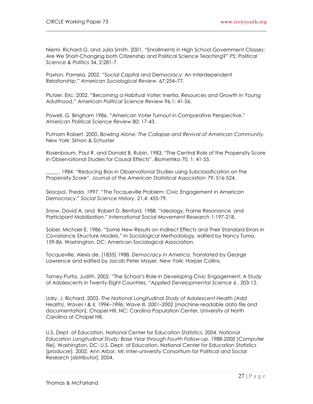Niemi, Richard G. and Julia Smith. 2001. "Enrollments in High School Government Classes: Are We Short-Changing both Citizenship and Political Science Teaching?" *PS: Political Science & Politics* 34, 2:281-7.

 $\_$ 

Paxton, Pamela. 2002. "Social Capital and Democracy: An Interdependent Relationship." *American Sociological Review.* 67:254–77.

Plutzer, Eric. 2002. "Becoming a Habitual Voter: Inertia, Resources and Growth in Young Adulthood." *American Political Science Review* 96,1: 41-56.

Powell, G*.* Bingham 1986. "American Voter Turnout in Comparative Perspective." *American Political Science Review* 80: 17-43.

Putnam Robert. 2000. *Bowling Alone: The Collapse and Revival of American Community*. New York: Simon & Schuster

Rosenbaum, Paul R. and Donald B. Rubin. 1983. "The Central Role of the Propensity Score in Observational Studies for Causal Effects". *Biometrika* 70, 1: 41-55.

\_\_\_\_\_. 1984. "Reducing Bias in Observational Studies using Subclassification on the Propensity Score". *Journal of the American Statistical Association* 79: 516-524.

Skocpol, Theda. 1997. "The Tocqueville Problem: Civic Engagement in American Democracy." *Social Science History*. 21.4: 455-79.

Snow, David A. and Robert D. Benford. 1988. "Ideology, Frame Resonance. and Participant Mobilization." *International Social Movement Research* 1:197-218.

Sobel, Michael E. 1986. "Some New Results on Indirect Effects and Their Standard Errors in Covariance Structure Models." In *Sociological Methodology,* edited by Nancy Tuma, 159-86. Washington, DC: American Sociological Association.

Tocqueville, Alexis de. [1835] 1988. *Democracy in America*. Translated by George Lawrence and edited by Jacob Peter Mayer. New York: Harper Collins.

Torney-Purta, Judith. 2002. "The School"s Role in Developing Civic Engagement; A Study of Adolescents in Twenty-Eight Countries. "*Applied Developmental Science* 6 , 203-12.

Udry, J. Richard. 2003. *The National Longitudinal Study of Adolescent Health (Add Health), Waves I & II, 1994–1996; Wave III, 2001–2002* [machine-readable data file and documentation]. Chapel Hill, NC: Carolina Population Center, University of North Carolina at Chapel Hill.

U.S. Dept. of Education, National Center for Education Statistics. 2004. *National Education Longitudinal Study: Base Year through Fourth Follow-up, 1988-2000* [Computer file]. Washington, DC: U.S. Dept. of Education, National Center for Education Statistics [producer], 2002. Ann Arbor, MI: Inter-university Consortium for Political and Social Research [distributor], 2004.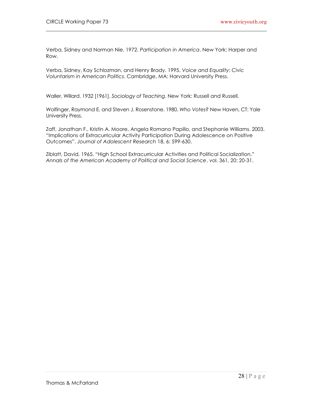Verba, Sidney and Norman Nie. 1972. *Participation in America*. New York: Harper and Row.

 $\_$ 

Verba, Sidney, Kay Schlozman, and Henry Brady. 1995. *Voice and Equality: Civic Voluntarism in American Politics*. Cambridge, MA: Harvard University Press.

Waller, Willard. 1932 [1961]. *Sociology of Teaching*. New York: Russell and Russell.

Wolfinger, Raymond E. and Steven J. Rosenstone. 1980. *Who Votes?* New Haven, CT: Yale University Press.

Zaff, Jonathan F., Kristin A. Moore, Angela Romano Papillo, and Stephanie Williams. 2003. "Implications of Extracurricular Activity Participation During Adolescence on Positive Outcomes". *Journal of Adolescent Research* 18, 6: 599-630.

Ziblatt, David. 1965. "High School Extracurricular Activities and Political Socialization." *Annals of the American Academy of Political and Social Science*, vol. 361, 20: 20-31.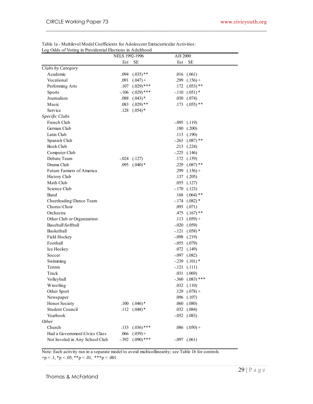| Log Odds of Voting in Presidential Elections in Adulthood |                       |                       |                      |  |
|-----------------------------------------------------------|-----------------------|-----------------------|----------------------|--|
|                                                           | <b>NELS 1992-1996</b> |                       | AH 2000              |  |
|                                                           | Est                   | <b>SE</b>             | <b>SE</b><br>Est     |  |
| Clubs by Category                                         |                       |                       |                      |  |
| Academic                                                  | .094                  | $(.035)$ **           | $.016$ $(.061)$      |  |
| Vocational                                                | .091                  | $(.047) +$            | .299<br>$(.156) +$   |  |
| Performing Arts                                           | .107                  | $(.029)$ ***          | $.172$ $(.053)$ **   |  |
| Sports                                                    | $-.106$               | $(.029)$ ***          | $-.110$ $(.051)$ *   |  |
| Journalism                                                | .088                  | $(.043)$ *            | .030<br>(.074)       |  |
| Music                                                     | .083                  | $(.029)$ **           | $(.055)$ **<br>.173  |  |
| Service                                                   | .128                  | $(.054)$ *            |                      |  |
| Specific Clubs                                            |                       |                       |                      |  |
| French Club                                               |                       |                       | $-.095$ $(.119)$     |  |
| German Club                                               |                       |                       | $.180$ $(.200)$      |  |
| Latin Club                                                |                       |                       | $.113$ $(.190)$      |  |
| Spanish Club                                              |                       |                       | $-.263$ $(.087)$ **  |  |
| <b>Book Club</b>                                          |                       |                       | $.213$ $(.224)$      |  |
| Computer Club                                             |                       |                       | $-.225$ $(.146)$     |  |
| Debate Team                                               |                       | $-.024$ $(.127)$      | $.172$ $(.159)$      |  |
| Drama Club                                                | .095                  | $(.040)$ *            | .229 $(.087)$ **     |  |
| Future Farmers of America                                 |                       |                       | $.299$ $(.156) +$    |  |
| History Club                                              |                       |                       | $.137$ $(.205)$      |  |
| Math Club                                                 |                       |                       | $.055$ $(.127)$      |  |
| Science Club                                              |                       |                       | $-.170$ $(.123)$     |  |
| Band                                                      |                       |                       | $.168$ $(.064)$ **   |  |
| Cheerleading\Dance Team                                   |                       |                       | $-.174$ $(.082)$ *   |  |
| Chorus\Choir                                              |                       |                       | $.093$ $(.071)$      |  |
| Orchestra                                                 |                       |                       | .475 $(.167)$ **     |  |
| Other Club or Organization                                |                       |                       | $.113$ $(.059) +$    |  |
| Baseball\Softball                                         |                       |                       | $-.020$ $(.059)$     |  |
| Basketball                                                |                       |                       | $-.121$ $(.058)*$    |  |
| Field Hockey                                              |                       |                       | $-.098$ $(.219)$     |  |
| Football                                                  |                       |                       | $-.055$ $(.079)$     |  |
| Ice Hockey                                                |                       |                       | $.072$ $(.149)$      |  |
| Soccer                                                    |                       |                       | $-.097$ $(.082)$     |  |
| Swimming                                                  |                       |                       | $-.239$ $(.101)$ *   |  |
| Tennis                                                    |                       |                       | $-.121$<br>(.111)    |  |
| Track                                                     |                       |                       | $.031$ $(.069)$      |  |
| Volleyball                                                |                       |                       | $-.360$ $(.083)$ *** |  |
| Wrestling                                                 |                       |                       | $.032$ $(.110)$      |  |
| Other Sport                                               |                       |                       | $.129$ $(.078) +$    |  |
| Newspaper                                                 |                       |                       | $.096$ $(.107)$      |  |
| Honor Society                                             | .100                  | $(.046)$ <sup>*</sup> | $.060$ $(.080)$      |  |
| <b>Student Council</b>                                    | .112                  | $(.048)$ *            | $.032$ $(.084)$      |  |
| Yearbook                                                  |                       |                       | $-.052$ $(.083)$     |  |
| <i>Other</i>                                              |                       |                       |                      |  |
| Church                                                    | .133                  | $(.036)$ ***          | $.086$ $(.050) +$    |  |
| Had a Government Civics Class                             | .066                  | $(.039) +$            |                      |  |
| Not Involed in Any School Club                            | $-.392$               | $(.090)$ ***          | $-.097$ $(.061)$     |  |
|                                                           |                       |                       |                      |  |

Table 1a - Multilevel Model Coefficients for Adolescent Extracurricular Activities:

\_\_\_\_\_\_\_\_\_\_\_\_\_\_\_\_\_\_\_\_\_\_\_\_\_\_\_\_\_\_\_\_\_\_\_\_\_\_\_\_\_\_\_\_\_\_\_\_\_\_\_\_\_\_\_\_\_\_\_\_\_\_\_\_\_\_\_\_\_\_\_\_

Note: Each activity run in a separate model to avoid multicollinearity; see Table 1b for controls

 $+p < 0.1, *p < 0.05, **p < 0.01, ***p < 0.001$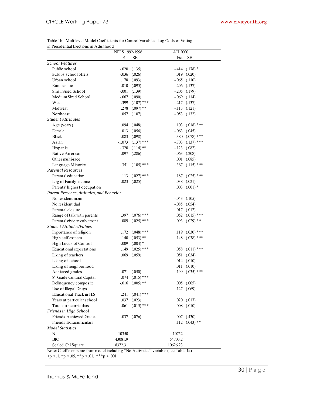| in Presidential Elections in Adulthood   |                       |              |          |                      |
|------------------------------------------|-----------------------|--------------|----------|----------------------|
|                                          | <b>NELS 1992-1996</b> |              | AH 2000  |                      |
|                                          | Est                   | SЕ           | Est      | SЕ                   |
| <b>School Features</b>                   |                       |              |          |                      |
| Public school                            | $-.020$               | (.135)       |          | $-414$ $(.178)$ *    |
| #Clubs school offers                     | $-.036$               | (.026)       |          | $.019$ $(.020)$      |
| Urban school                             | .178                  | $(.093) +$   |          | $-.065$ $(.110)$     |
| Rural school                             | .010                  | (.095)       |          | $-.206$ $(.137)$     |
| Small Sized School                       | $-.001$               | (.139)       |          | $-.205$ $(.179)$     |
| Medium Sized School                      | $-067$                | (.090)       |          | $-.069$ $(.114)$     |
| West                                     | .399                  | $(.107)$ *** |          | $-.217$ $(.137)$     |
| Midwest                                  | .278                  | $(.097)$ **  |          | $-.113$ $(.121)$     |
| Northeast                                | .057                  | (.107)       |          | $-.053$ $(.132)$     |
| <b>Student Attributes</b>                |                       |              |          |                      |
| Age (years)                              | .094                  | (.048)       | .103     | $(.018)$ ***         |
| Female                                   | .013                  | (.056)       |          | $-.063$ $(.045)$     |
| Black                                    | $-.083$               | (.098)       |          | $.380$ $(.078)$ ***  |
| Asian                                    | $-1.073$              | $(.137)$ *** |          | $-.703$ $(.137)$ *** |
| Hispanic                                 | $-.320$               | $(.114)$ **  |          | $-.123$ $(.082)$     |
| Native American                          | .097                  | (.286)       |          | $-.063$ $(.208)$     |
| Other multi-race                         |                       |              | .001     | (.085)               |
| Language Minority                        | $-.351$               | $(.105)$ *** |          | $-.367$ $(.115)$ *** |
| <b>Parental Resources</b>                |                       |              |          |                      |
| Parents' education                       | .113                  | $(.027)$ *** | .187     | $(.025)$ ***         |
| Log of Family income                     | .023                  | (.025)       | .038     | (.021)               |
| Parents' highest occupation              |                       |              |          | $.003$ $(.001)*$     |
| Parent Presence, Attitudes, and Behavior |                       |              |          |                      |
| No resident mom                          |                       |              |          | $-.043$ $(.105)$     |
| No resident dad                          |                       |              |          | $-.085$ $(.054)$     |
| Parental closure                         |                       |              |          | $.017$ $(.012)$      |
| Range of talk with parents               | .397                  | $(.076)$ *** |          | .052 $(.015)$ ***    |
| Parents' civic involvement               | .089                  | $(.025)$ *** |          | $.093$ $(.029)$ **   |
| Student Attitudes/Values                 |                       |              |          |                      |
| Importance of religion                   | .172                  | $(.048)$ *** | .119     | $(.030)$ ***         |
| High self-esteem                         | .140                  | $(.053)$ **  |          | $.148$ $(.038)$ ***  |
| High Locus of Control                    | $-.009$               | $(.004)$ *   |          |                      |
| Educational expectations                 | .149                  | $(.025)$ *** |          | .058 $(.011)$ ***    |
| Liking of teachers                       | .069                  | (.059)       |          | $.051$ $(.034)$      |
| Liking of school                         |                       |              |          | $.014$ $(.010)$      |
| Liking of neighborhood                   |                       |              |          | $.011$ $(.010)$      |
| Achieved grades                          |                       | .071 (.050)  |          | .199 $(.035)$ ***    |
| 8 <sup>th</sup> Grade Cultural Capital   | .074                  | $(.015)$ *** |          |                      |
| Delinquency composite                    | $-0.016$              | $(.005)$ **  |          | $.005$ $(.005)$      |
| Use of Illegal Drugs                     |                       |              |          | $-.127$ $(.069)$     |
| Educational Track in H.S.                | .241                  | $(.041)$ *** |          |                      |
| Years at particular school               | .037                  | (.023)       |          | $.020$ $(.017)$      |
| Total extracurriculars                   | .061                  | $(.015)$ *** |          | $-.008$ $(.010)$     |
| Friends in High School                   |                       |              |          |                      |
| Friends Achieved Grades                  | $-.037$               | (.076)       |          | $-.007$ $(.430)$     |
| Friends Extracurriculars                 |                       |              |          | $.112$ $(.043)$ **   |
| Model Statistics                         |                       |              |          |                      |
| N                                        | 10350                 |              | 10752    |                      |
| <b>BIC</b>                               | 43081.9               |              | 54703.2  |                      |
| Scaled Chi Square                        | 8372.31               |              | 10626.23 |                      |

Table 1b - Multilevel Model Coefficients for Control Variables: Log Odds of Voting

\_\_\_\_\_\_\_\_\_\_\_\_\_\_\_\_\_\_\_\_\_\_\_\_\_\_\_\_\_\_\_\_\_\_\_\_\_\_\_\_\_\_\_\_\_\_\_\_\_\_\_\_\_\_\_\_\_\_\_\_\_\_\_\_\_\_\_\_\_\_\_\_

Note: Coefficients are from model including "No Activities" variable (see Table 1a)

 $+p < 0.1, *p < 0.05, **p < 0.01, **p < 0.001$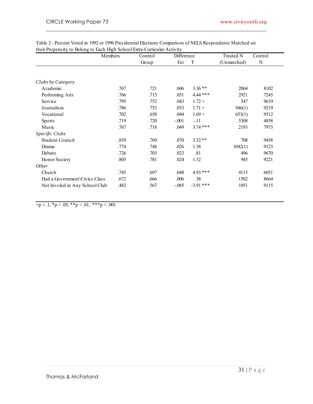\_\_\_\_\_\_\_\_\_\_\_\_\_\_\_\_\_\_\_\_\_\_\_\_\_\_\_\_\_\_\_\_\_\_\_\_\_\_\_\_\_\_\_\_\_\_\_\_\_\_\_\_\_\_\_\_\_\_\_\_\_\_\_\_\_\_\_\_\_\_\_\_

|                                | Members | Control | Difference |             | <b>Treated N</b> | Control |
|--------------------------------|---------|---------|------------|-------------|------------------|---------|
|                                |         | Group   | Est        | T           | (Unmatched)      | N       |
| Clubs by Category              |         |         |            |             |                  |         |
| Academic                       | .767    | .721    | .046       | $3.36**$    | 2064             | 8102    |
| Performing Arts                | .766    | .715    | .051       | $4.44$ ***  | 2921             | 7245    |
| Service                        | .795    | .752    | .043       | $1.72 +$    | 547              | 9619    |
| Journalism                     | .786    | .753    | .033       | $1.71 +$    | 946(1)           | 9219    |
| Vocational                     | .702    | .658    | .044       | $1.69 +$    | 653(1)           | 9512    |
| <b>Sports</b>                  | .719    | .720    | $-.001$    | $-.11$      | 5308             | 4858    |
| Music                          | .767    | .718    | .049       | $3.74$ ***  | 2193             | 7973    |
| Specific Clubs                 |         |         |            |             |                  |         |
| Student Council                | .839    | .769    | .070       | $3.32**$    | 708              | 9458    |
| Drama                          | .774    | .748    | .026       | 1.38        | 1042(1)          | 9123    |
| Debate                         | .726    | .703    | .023       | .81         | 496              | 9670    |
| Honor Society                  | .805    | .781    | .024       | 1.32        | 945              | 9221    |
| <i>Other</i>                   |         |         |            |             |                  |         |
| Church                         | .745    | .697    | .048       | $4.93***$   | 4115             | 6051    |
| Had a Government Civics Class  | .672    | .666    | .006       | .38         | 1502             | 8664    |
| Not Involed in Any School Club | .482    | .567    | $-0.085$   | $-3.91$ *** | 1051             | 9115    |

 $+p < 0.1, p < 0.05, p < 0.01, p < 0.001$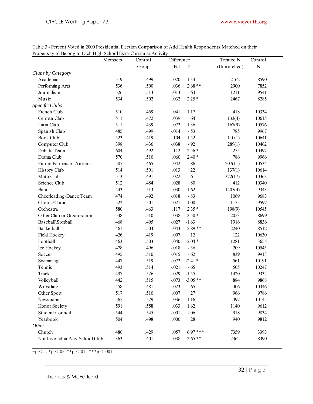|                                | Members | Control | Propensity to Belong to Each High School Extra-Curricular Activity<br>Difference |             | <b>Treated N</b> | Control   |  |
|--------------------------------|---------|---------|----------------------------------------------------------------------------------|-------------|------------------|-----------|--|
|                                |         | Group   | Est                                                                              | $\mathbf T$ | (Unmatched)      | ${\bf N}$ |  |
| Clubs by Category              |         |         |                                                                                  |             |                  |           |  |
| Academic                       | .519    | .499    | .020                                                                             | 1.34        | 2162             | 8590      |  |
| Performing Arts                | .536    | .500    | .036                                                                             | $2.68**$    | 2900             | 7852      |  |
| Journalism                     | .526    | .513    | .013                                                                             | .64         | 1211             | 9541      |  |
| Music                          | .534    | .502    | .032                                                                             | $2.25*$     | 2467             | 8285      |  |
| Specific Clubs                 |         |         |                                                                                  |             |                  |           |  |
| French Club                    | .510    | .469    | .041                                                                             | 1.17        | 418              | 10334     |  |
| German Club                    | .511    | .472    | .039                                                                             | .64         | 133(4)           | 10615     |  |
| Latin Club                     | .511    | .439    | .072                                                                             | 1.36        | 167(9)           | 10576     |  |
| Spanish Club                   | .485    | .499    | $-014$                                                                           | $-.53$      | 785              | 9967      |  |
| <b>Book Club</b>               | .523    | .419    | .104                                                                             | 1.52        | 110(1)           | 10641     |  |
| Computer Club                  | .398    | .436    | $-.038$                                                                          | $-92$       | 289(1)           | 10462     |  |
| Debate Team                    | .604    | .492    | .112                                                                             | $2.56*$     | 255              | 10497     |  |
| Drama Club                     | .570    | .510    | .060                                                                             | $2.40*$     | 786              | 9966      |  |
| Future Farmers of America      | .507    | .465    | .042                                                                             | .86         | 207(11)          | 10534     |  |
| History Club                   | .514    | .501    | .013                                                                             | .22         | 137(1)           | 10614     |  |
| Math Club                      | .513    | .491    | .022                                                                             | .61         | 372(17)          | 10363     |  |
| Science Club                   | .512    | .484    | .028                                                                             | $.80\,$     | 412              | 10340     |  |
| Band                           | .543    | .513    | .030                                                                             | 1.62        | 1405(4)          | 9343      |  |
| Cheerleading\Dance Team        | .474    | .492    | $-0.018$                                                                         | $-.83$      | 1069             | 9683      |  |
| Chorus\Choir                   | .522    | .501    | .021                                                                             | $1.00\,$    | 1155             | 9597      |  |
| Orchestra                      | .580    | .463    | .117                                                                             | $2.35*$     | 198(9)           | 10545     |  |
| Other Club or Organization     | .548    | .510    | .038                                                                             | $2.50*$     | 2053             | 8699      |  |
| Baseball\Softball              | .468    | .495    | $-.027$                                                                          | $-1.63$     | 1916             | 8836      |  |
| Basketball                     | .461    | .504    | $-.043$                                                                          | $-2.89**$   | 2240             | 8512      |  |
| Field Hockey                   | .426    | .419    | .007                                                                             | .12         | 122              | 10630     |  |
| Football                       | .463    | .503    | $-.040$                                                                          | $-2.04*$    | 1281             | 3655      |  |
| Ice Hockey                     | .478    | .496    | $-0.018$                                                                         | $-.36$      | 209              | 10543     |  |
| Soccer                         | .495    | .510    | $-0.015$                                                                         | $-.62$      | 839              | 9913      |  |
| Swimming                       | .447    | .519    | $-.072$                                                                          | $-2.41*$    | 561              | 10191     |  |
| Tennis                         | .493    | .514    | $-.021$                                                                          | $-.65$      | 505              | 10247     |  |
| Track                          | .497    | .526    | $-.029$                                                                          | $-1.55$     | 1420             | 9332      |  |
| Volleyball                     | .442    | .515    | $-.073$                                                                          | $-3.05**$   | 884              | 9868      |  |
| Wrestling                      | .458    | .481    | $-.023$                                                                          | $-.65$      | 406              | 10346     |  |
| Other Sport                    | .517    | .510    | .007                                                                             | .27         | 966              | 9786      |  |
| Newspaper                      | .565    | .529    | .036                                                                             | 1.16        | 497              | 10145     |  |
| Honor Society                  | .591    | .558    | .033                                                                             | 1.62        | 1140             | 9612      |  |
| Student Council                | .544    | .545    | $-.001$                                                                          | $-.06$      | 918              | 9834      |  |
| Yearbook                       | .504    | .498    | .006                                                                             | .28         | 940              | 9812      |  |
| Other                          |         |         |                                                                                  |             |                  |           |  |
| Church                         | .486    | .429    | .057                                                                             | $6.97***$   | 7359             | 3393      |  |
| Not Involed in Any School Club | .363    | .401    | $-.038$                                                                          | $-2.65**$   | 2362             | 8390      |  |

\_\_\_\_\_\_\_\_\_\_\_\_\_\_\_\_\_\_\_\_\_\_\_\_\_\_\_\_\_\_\_\_\_\_\_\_\_\_\_\_\_\_\_\_\_\_\_\_\_\_\_\_\_\_\_\_\_\_\_\_\_\_\_\_\_\_\_\_\_\_\_\_

 $+p < 0.1, *p < 0.05, **p < 0.01, **p < 0.001$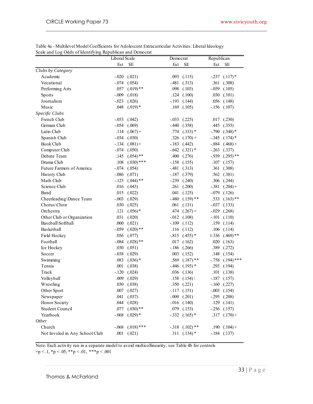|                                | <b>Liberal Scale</b> |                  | Democrat |                    | Republican |                      |  |
|--------------------------------|----------------------|------------------|----------|--------------------|------------|----------------------|--|
|                                | Est                  | $\rm SE$         | Est      | <b>SE</b>          | Est        | SE                   |  |
| Clubs by Category              |                      |                  |          |                    |            |                      |  |
| Academic                       | $-.020$              | (.021)           | .093     | (.115)             |            | $-.237$ $(.117)*$    |  |
| Vocational                     | $-.074$              | (.054)           | $-.481$  | (.313)             | .361       | (.308)               |  |
| Performing Arts                | .057                 | $(.019)$ **      | .098     | (.103)             |            | $-.059$ $(.105)$     |  |
| Sports                         | $-.009$              | (.018)           | .124     | (.100)             |            | $.030$ $(.101)$      |  |
| Journalism                     | $-.023$              | (.026)           | $-193$   | (.144)             |            | $.056$ $(.148)$      |  |
| Music                          | .048                 | $(.019)*$        | .169     | (.105)             |            | $-.156$ $(.107)$     |  |
| Specific Clubs                 |                      |                  |          |                    |            |                      |  |
| French Club                    | $-.053$              | (.042)           | $-.033$  | (.225)             |            | $.017$ $(.230)$      |  |
| German Club                    | $-.054$              | (.069)           | -.440    | (.358)             | .445       | (.355)               |  |
| Latin Club                     | .114                 | $(.067) +$       | .774     | $(.333)*$          |            | $-.790$ $(.348)*$    |  |
| Spanish Club                   | $-.034$              | (.030)           | .326     | $(.170) +$         |            | $-.345$ $(.174)*$    |  |
| Book Club                      | $-.134$              | $(.081) +$       | $-183$   | (.442)             |            | $-.884$ $(.468) +$   |  |
| Computer Club                  | $-.074$              | (.050)           | $-642$   | $(.321)$ *         | $-.263$    | (.337)               |  |
| Debate Team                    | .145                 | $(.054)$ **      | .400     | (.276)             |            | $-0.939$ $(.295)$ ** |  |
| Drama Club                     | .108                 | $(.030)$ ***     | $-158$   | (.155)             | .107       | (.157)               |  |
| Future Farmers of America      | $-.074$              | (.054)           |          | $-.481$ $(.313)$   | .361       | (.308)               |  |
| History Club                   | $-.086$              | (.071)           |          | $-.187$ $(.379)$   |            | $.562$ $(.381)$      |  |
| Math Club                      | $-125$               | $(.044)$ **      |          | $-.239$ $(.240)$   |            | $.306$ $(.244)$      |  |
| Science Club                   | .016                 | (.043)           | .261     | (.200)             |            | $-.381$ $(.204) +$   |  |
| Band                           | .015                 | (.022)           | .041     | (.125)             | $-079$     | (.126)               |  |
| Cheerleading\Dance Team        | $-.003$              | (.029)           | $-.480$  | $(.159)$ **        | .533       | $(.163)$ **          |  |
| Chorus\Choir                   | .030                 | (.025)           | .061     | (.131)             |            | $-.037$ $(.133)$     |  |
| Orchestra                      | .121                 | $(.056)$ *       | .474     | $(.267) +$         | $-0.029$   | (.268)               |  |
| Other Club or Organization     | .031                 | (.020)           | $-0.012$ | (.108)             | $-.101$    | (.110)               |  |
| Baseball\Softball              | .000                 | (.021)           | $-.109$  | (.112)             | .159       | (.114)               |  |
| Basketball                     | $-.059$              | $(.020)$ **      | .116     | (.112)             | .106       | (.114)               |  |
| Field Hockey                   | .056                 | (.077)           |          | $-.815$ $(.455)$ * |            | $1.336$ $(.469)**$   |  |
| Football                       | $-.084$              | $(.028)$ **      | .017     | (.162)             | .020       | (.163)               |  |
| Ice Hockey                     | .030                 | (.051)           | $-186$   | (.266)             | .389       | (.272)               |  |
| Soccer                         | $-.038$              | (.029)           | .003     | (.152)             | .148       | (.154)               |  |
| Swimming                       | .083                 | $(.036)$ *       | .569     | $(.187)$ **        | $-758$     | $(.194)$ ***         |  |
| Tennis                         | .001                 | (.038)           |          | $-.446$ $(.193)$ * |            | .293 (.194)          |  |
| Track                          |                      | $-.120$ $(.024)$ |          | $.036$ $(.136)$    |            | $.101$ $(.138)$      |  |
| Volleyball                     | .009                 | (.029)           |          | .158 $(.154)$      |            | $-.187$ $(.157)$     |  |
| Wrestling                      | .030                 | (.038)           |          | $.350$ $(.221)$    |            | $-.160$ $(.227)$     |  |
| Other Sport                    | .007                 | (.027)           |          | $-117$ $(.151)$    |            | $-.003$ $(.154)$     |  |
| Newspaper                      | .041                 | (.037)           |          | $-.009$ $(.201)$   |            | $-.295$ $(.208)$     |  |
| Honor Society                  | .044                 | (.028)           |          | $-.016$ $(.140)$   |            | $.129$ $(.141)$      |  |
| Student Council                | .077                 | $(.030)$ **      |          | $.079$ $(.153)$    |            | $-.256$ $(.157)$     |  |
| Yearbook                       | $-.068$              | $(.029)$ *       |          | $-.332$ $(.165)$ * |            | $.317$ $(.170) +$    |  |
| <i>Other</i>                   |                      |                  |          |                    |            |                      |  |
| Church                         | $-.068$              | $(.018)$ ***     |          | $-.318$ $(.102)**$ |            | $.190$ $(.104) +$    |  |
| Not Involed in Any School Club |                      | $.001$ $(.021)$  |          | $.311$ $(.134)$ *  |            | $-.184$ $(.137)$     |  |

\_\_\_\_\_\_\_\_\_\_\_\_\_\_\_\_\_\_\_\_\_\_\_\_\_\_\_\_\_\_\_\_\_\_\_\_\_\_\_\_\_\_\_\_\_\_\_\_\_\_\_\_\_\_\_\_\_\_\_\_\_\_\_\_\_\_\_\_\_\_\_\_

Note: Each activity run in a separate model to avoid multicollinearity; see Table 4b for controls

 $+p < 0.1, p < 0.05, \cdot+p < 0.01, \cdot+p < 0.001$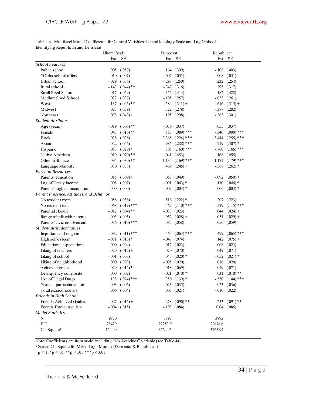| Table 4b - Multilevel Model Coefficients for Control Variables: Liberal Ideology Scale and Log Odds of |  |
|--------------------------------------------------------------------------------------------------------|--|
| Identifying Republican and Democrat                                                                    |  |

\_\_\_\_\_\_\_\_\_\_\_\_\_\_\_\_\_\_\_\_\_\_\_\_\_\_\_\_\_\_\_\_\_\_\_\_\_\_\_\_\_\_\_\_\_\_\_\_\_\_\_\_\_\_\_\_\_\_\_\_\_\_\_\_\_\_\_\_\_\_\_\_

|                                          | DUINUIG<br>Liberal Scale |                     | Democrat |                      | Republican |                      |
|------------------------------------------|--------------------------|---------------------|----------|----------------------|------------|----------------------|
|                                          | Est                      | SE                  |          | Est SE               | Est        | <b>SE</b>            |
| <b>School Features</b>                   |                          |                     |          |                      |            |                      |
| Public school                            | .005                     | (.057)              |          | $.164$ $(.399)$      |            | $-.108$ $(.403)$     |
| #Clubs school offers                     | .010                     | (.007)              |          | $-.007$ $(.051)$     |            | $-.008$ $(.051)$     |
| Urban school                             | $-.029$                  | (.036)              |          | $-.298$ $(.250)$     |            | $.232$ $(.254)$      |
| Rural school                             | -.143                    | $(.044)$ **         |          | $-.347$ $(.316)$     |            | .295 (.317)          |
| Small Sized School                       | $-0.017$                 | (.059)              |          | $-.356$ $(.414)$     |            | $.182$ $(.422)$      |
| Medium Sized School                      | .022                     | (.037)              |          | $-.105$ $(.257)$     |            | $-.033$ $(.261)$     |
| West                                     | .137                     | $(.045)$ **         |          | $.584$ $(.311) +$    |            | $-.616$ $(.315) +$   |
| Midwest                                  | .023                     | (.039)              |          | $.322$ $(.278)$      |            | $-.377$ $(.282)$     |
| Northeast                                | .078                     | $(.043) +$          |          | $.105$ $(.298)$      |            | $-.263$ $(.301)$     |
| <b>Student Attributes</b>                |                          |                     |          |                      |            |                      |
| Age (years)                              | $-0.019$                 | $(.006)$ **         |          | $-.036$ $(.037)$     |            | $.055$ $(.037)$      |
| Female                                   | .043                     | $(.016)$ **         | .557     | $(.089)$ ***         | $-.340$    | $(.090)$ ***         |
| <b>Black</b>                             | .038                     | (.028)              | 3.368    | $(.224)$ ***         | -3.444     | $(.255)$ ***         |
| Asian                                    | .022                     | (.046)              | .986     | $(.288)$ ***         | -.719      | $(.307)$ *           |
| Hispanic                                 | .057                     | $(.029)*$           | .805     | $(.160)$ ***         | -.760      | $(.166)$ ***         |
| Native American                          | .019                     | $(.070)**$          |          | $-.041$ $(.453)$     | .168       | (.455)               |
| Other multi-race                         | .094                     | $(.030)$ **         |          | $1.135$ $(.169)$ *** | -1.172     | $(.179)$ ***         |
| Language Minority                        | .030                     | (.038)              |          | $.469$ $(.245) +$    |            | $-.568$ $(.262)$ *   |
| <b>Parental Resources</b>                |                          |                     |          |                      |            |                      |
| Parents' education                       | .015                     | $(.009) +$          |          | $.057$ $(.049)$      |            | $-.092$ $(.050) +$   |
| Log of Family income                     | .008                     | (.007)              |          | $-.091$ $(.043)$ *   |            | $.110$ $(.044)$ *    |
| Parents' highest occupation              | .000                     | (.000)              |          | $-.007$ $(.003)*$    |            | $.006$ $(.003)*$     |
| Parent Presence, Attitudes, and Behavior |                          |                     |          |                      |            |                      |
| No resident mom                          | .058                     | (.036)              |          | $-.516$ $(.222)*$    |            | $.207$ $(.223)$      |
| No resident dad                          |                          | $(.019)$ ***        |          | .467 $(.110)$ ***    |            |                      |
| Parental closure                         | .068                     | $(.004)$ **         |          |                      |            | $-.529$ $(.115)$ *** |
|                                          | $-0.012$                 |                     |          | $-.038$ $(.023)$     |            | $.044$ $(.024) +$    |
| Range of talk with parents               | $-.003$                  | (.005)              |          | $.052$ $(.028)$ +    |            | $.051$ $(.029) +$    |
| Parents' civic involvement               | .036                     | $(.010)$ ***        |          | $.085$ $(.058)$      |            | $-.056$ $(.059)$     |
| Student Attitudes/Values                 |                          |                     |          |                      |            |                      |
| Importance of religion                   | $-.092$                  | $(.011)$ ***        |          | $-.465$ $(.063)$ *** | .499       | $(.065)$ ***         |
| High self-esteem                         | $-.031$                  | $(.013)*$           |          | $-.047$ $(.074)$     |            | $.142$ $(.075) +$    |
| Educational expectations                 | .000                     | (.004)              |          | $.017$ $(.023)$      |            | $.008$ $(.023)$      |
| Liking of teachers                       | $-.020$                  | $(.012) +$          |          | $.070$ $(.070)$      | -.049      | (.071)               |
| Liking of school                         | $-.001$                  | (.003)              |          | $.043$ $(.020)*$     |            | $-.052$ $(.021)$ *   |
| Liking of neighborhood                   | .000                     | (.003)              |          | $-.005$ $(.020)$     |            | $.016$ $(.020)$      |
| Achieved grades                          | .029                     | $(.012)*$           |          | .018 (.069)          | -.019      | (.071)               |
| Delinquency composite                    | .000                     | (.002)              |          | $-.021$ $(.010)*$    |            | $.031$ $(.010)**$    |
| Use of Illegal Drugs                     |                          | $.138$ $(.024)$ *** |          | $.350(.139)*$        |            | $-.550$ $(.144)$ *** |
| Years at particular school               |                          | $.003$ $(.006)$     |          | $-.023$ $(.035)$     |            | $.023$ $(.036)$      |
| Total extracurriculars                   |                          | $.006$ $(.004)$     |          | $.005$ $(.021)$      |            | $-.010$ $(.022)$     |
| Friends in High School                   |                          |                     |          |                      |            |                      |
| Friends Achieved Grades                  |                          | $-.027$ $(.015) +$  |          | $-.278$ $(.090)$ **  |            | .253 $(.091)$ **     |
| Friends Extracurriculars                 |                          | $-.004$ $(.015)$    |          | $-.108$ $(.084)$     |            | $0.04$ $(.085)$      |
| <b>Model Statistics</b>                  |                          |                     |          |                      |            |                      |
| N                                        | 9850                     |                     | 3893     |                      | 3893       |                      |
| <b>BIC</b>                               | 28429                    |                     | 22253.9  |                      | 22676.6    |                      |
| Chi Square <sup>1</sup>                  | 154.99                   |                     | 3764.95  |                      | 3765.94    |                      |

Note: Coefficients are from model including "No Activities" variable (see Table 4a)

<sup>1</sup> Scaled Chi Square for Mixed Logit Models (Democrat & Republican)

 $+p < 0.1, p < 0.05, p=p < 0.01, p=p < 0.01$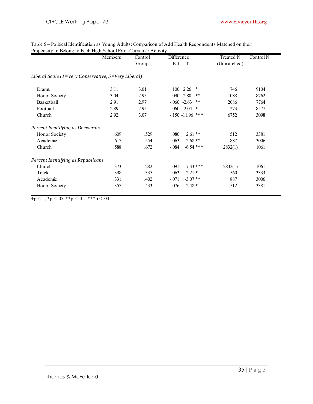|                                                                            | Members | Control | <b>Difference</b> |                    | <b>Treated N</b> | Control N |  |
|----------------------------------------------------------------------------|---------|---------|-------------------|--------------------|------------------|-----------|--|
|                                                                            |         | Group   | Est               | T                  | (Unmatched)      |           |  |
| Liberal Scale ( $1 = \text{Very}$ Conservative, $5 = \text{Very}$ Liberal) |         |         |                   |                    |                  |           |  |
| Drama                                                                      | 3.11    | 3.01    | $.100$ 2.26       | $\ast$             | 746              | 9104      |  |
| Honor Society                                                              | 3.04    | 2.95    | .090              | 2.80<br>$***$      | 1088             | 8762      |  |
| Basketball                                                                 | 2.91    | 2.97    | $-0.060 -2.63$    | $***$              | 2086             | 7764      |  |
| Football                                                                   | 2.89    | 2.95    |                   | $-.060 -2.04$ *    | 1273             | 8577      |  |
| Church                                                                     | 2.92    | 3.07    |                   | $-150 - 11.96$ *** | 6752             | 3098      |  |
| Percent Identifying as Democrats                                           |         |         |                   |                    |                  |           |  |
| Honor Society                                                              | .609    | .529    | .080              | $2.61**$           | 512              | 3381      |  |
| Academic                                                                   | .617    | .554    | .063              | $2.68**$           | 887              | 3006      |  |
| Church                                                                     | .588    | .672    | $-.084$           | $-6.54$ ***        | 2832(1)          | 1061      |  |
| Percent Identifying as Republicans                                         |         |         |                   |                    |                  |           |  |
| Church                                                                     | .373    | .282    | .091              | $7.33***$          | 2832(1)          | 1061      |  |
| Track                                                                      | .398    | .335    | .063              | $2.21*$            | 560              | 3333      |  |
| Academic                                                                   | .331    | .402    | $-.071$           | $-3.07**$          | 887              | 3006      |  |
| Honor Society                                                              | .357    | .433    | $-.076$           | $-2.48*$           | 512              | 3381      |  |

\_\_\_\_\_\_\_\_\_\_\_\_\_\_\_\_\_\_\_\_\_\_\_\_\_\_\_\_\_\_\_\_\_\_\_\_\_\_\_\_\_\_\_\_\_\_\_\_\_\_\_\_\_\_\_\_\_\_\_\_\_\_\_\_\_\_\_\_\_\_\_\_

 $+p < 0.1, p < 0.05, p < 0.01, p < 0.01$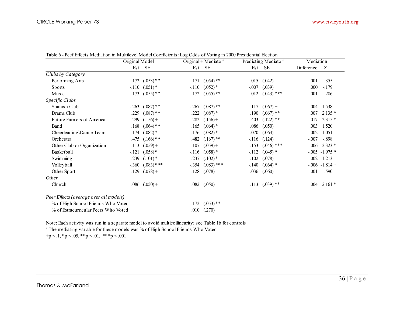|                                        | Original Model |                   | Original + Mediator <sup>1</sup> |              |         | Predicting Mediator <sup>1</sup> | Mediation  |                     |
|----------------------------------------|----------------|-------------------|----------------------------------|--------------|---------|----------------------------------|------------|---------------------|
|                                        | Est            | <b>SE</b>         |                                  | Est SE       | Est     | SE                               | Difference | Z                   |
| Clubs by Category                      |                |                   |                                  |              |         |                                  |            |                     |
| Performing Arts                        | .172           | $(.053)$ **       | .171                             | $(.054)$ **  | .015    | (.042)                           | .001       | .355                |
| <b>Sports</b>                          | $-.110$        | $(.051)$ *        | $-.110$                          | $(.052)*$    | $-.007$ | (.039)                           | .000       | $-179$              |
| Music                                  | .173           | $(.055)$ **       | .172                             | $(.055)$ **  | .012    | $(.043)$ ***                     | .001       | .286                |
| Specific Clubs                         |                |                   |                                  |              |         |                                  |            |                     |
| Spanish Club                           | $-.263$        | $(.087)$ **       | $-.267$                          | $(.087)$ **  | .117    | $(.067) +$                       | .004       | 1.538               |
| Drama Club                             | .229           | $(.087)$ **       | .222                             | $(.087)$ *   | .190    | $(.067)$ **                      | .007       | $2.135*$            |
| Future Farmers of America              | .299           | $(.156) +$        | .282                             | $(.156) +$   | .403    | $(.122)$ **                      | .017       | $2.315*$            |
| Band                                   | .168           | $(.064)$ **       | .165                             | $(.064)$ *   | .086    | $(.050) +$                       | .003       | 1.520               |
| Cheerleading\Dance Team                | $-.174$        | $(.082)*$         | $-176$                           | $(.082)*$    | .070    | (.063)                           | .002       | 1.051               |
| Orchestra                              | .475           | $(.166)$ **       | .482                             | $(.167)$ **  | $-116$  | (.124)                           | $-.007$    | $-.898$             |
| Other Club or Organization             | .113           | $(.059) +$        | .107                             | $(.059) +$   | .153    | $(.046)$ ***                     | .006       | $2.323*$            |
| Basketball                             | $-.121$        | $(.058)*$         | $-116$                           | $(.058)*$    | $-112$  | $(.045)$ *                       |            | $-0.005$ $-1.975$ * |
| Swimming                               | $-.239$        | $(.101)$ *        | $-.237$                          | $(.102)$ *   | $-.102$ | (.078)                           |            | $-0.002 -1.213$     |
| Volleyball                             | $-.360$        | $(.083)$ ***      | $-.354$                          | $(.083)$ *** | $-.140$ | $(.064)$ *                       |            | $-0.006 - 1.814 +$  |
| Other Sport                            | .129           | $(.078) +$        | .128                             | (.078)       | .036    | (.060)                           | .001       | .590                |
| Other                                  |                |                   |                                  |              |         |                                  |            |                     |
| Church                                 |                | $.086$ $(.050) +$ | .082                             | (.050)       | .113    | $(.039)$ **                      | .004       | $2.161*$            |
| Peer Effects (average over all models) |                |                   |                                  |              |         |                                  |            |                     |
| % of High School Friends Who Voted     |                |                   | .172                             | $(.053)$ **  |         |                                  |            |                     |
| % of Extracurricular Peers Who Voted   |                |                   | .010                             | (.270)       |         |                                  |            |                     |

Table 6 - Peef Effects Mediation in Multilevel Model Coefficients: Log Odds of Voting in 2000 Presidential Election

Note: Each activity was run in a separate model to avoid multicollinearity; see Table 1b for controls

<sup>1</sup> The mediating variable for these models was % of High School Friends Who Voted

 $+p < 0.1, p < 0.05, \cdot+p < 0.01, \cdot+p < 0.001$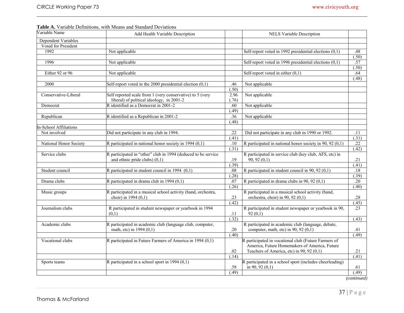| Variable Name              | Add Health Variable Description                               |        | <b>NELS Variable Description</b>                           |        |
|----------------------------|---------------------------------------------------------------|--------|------------------------------------------------------------|--------|
| <b>Dependent Variables</b> |                                                               |        |                                                            |        |
| Voted for President        |                                                               |        |                                                            |        |
| 1992                       | Not applicable                                                |        | Self-report voted in 1992 presidential elections $(0,1)$   | .48    |
|                            |                                                               |        |                                                            | (.50)  |
| 1996                       | Not applicable                                                |        | Self-report voted in 1996 presidential elections $(0,1)$   | .57    |
|                            |                                                               |        |                                                            | (.50)  |
| Either 92 or 96            | Not applicable                                                |        | Self-report voted in either $(0,1)$                        | .64    |
|                            |                                                               |        |                                                            | (.48)  |
| 2000                       | Self-report voted in the 2000 presidential election $(0,1)$   | .46    | Not applicable                                             |        |
|                            |                                                               | (.50)  |                                                            |        |
| Conservative-Liberal       | Self reported scale from 1 (very conservative) to 5 (very     | 2.96   | Not applicable                                             |        |
|                            | liberal) of political ideology, in 2001-2                     | (.76)  |                                                            |        |
| Democrat                   | R identified as a Democrat in 2001-2                          | .60    | Not applicable                                             |        |
|                            |                                                               | (.49)  |                                                            |        |
| Republican                 | R identified as a Republican in 2001-2                        | .36    | Not applicable                                             |        |
|                            |                                                               | (.48)  |                                                            |        |
| n-School Affiliations      |                                                               |        |                                                            |        |
| Not involved               | Did not participate in any club in 1994.                      | .22    | Did not participate in any club in 1990 or 1992.           | .11    |
|                            |                                                               | (41)   |                                                            | (31)   |
| National Honor Society     | R participated in national honor society in 1994 $(0,1)$      | .10    | R participated in national honor society in 90, 92 $(0,1)$ | .22    |
|                            |                                                               | (.31)  |                                                            | (.42)  |
| Service clubs              | R participated in "other" club in 1994 (deduced to be service |        | R participated in service club (key club, AFS, etc) in     |        |
|                            | and ethnic pride clubs) $(0,1)$                               | .19    | 90, 92(0,1)                                                | .21    |
|                            |                                                               | (0.39) |                                                            | (.41)  |
| Student council            | R participated in student council in 1994 $(0,1)$             | .08    | R participated in student council in 90, 92 $(0,1)$        | .18    |
|                            |                                                               | (.28)  |                                                            | (0.39) |
| Drama clubs                | R participated in drama club in 1994 $(0,1)$                  | .07    | R participated in drama clubs in 90, 92 $(0,1)$            | .20    |
|                            |                                                               | (26)   |                                                            | (40)   |
| Music groups               | R participated in a musical school activity (band, orchestra, |        | R participated in a musical school activity (band,         |        |
|                            | choir) in 1994 (0,1)                                          | .23    | orchestra, choir) in 90, 92 $(0,1)$                        | .28    |
|                            |                                                               | (.42)  |                                                            | (.45)  |
| Journalism clubs           | R participated in student newspaper or yearbook in 1994       |        | R participated in student newspaper or yearbook in 90,     | .23    |
|                            | (0,1)                                                         | .11    | 92 $(0,1)$                                                 |        |
|                            |                                                               | (.32)  |                                                            | (43)   |
| Academic clubs             | R participated in academic club (language club, computer,     |        | R participated in academic club (language, debate,         |        |
|                            | math, etc) in 1994 (0,1)                                      | .20    | computer, math, etc) in 90, 92 $(0,1)$                     | .41    |
|                            |                                                               | (40)   |                                                            | (49)   |
| Vocational clubs           | R participated in Future Farmers of America in 1994 (0,1)     |        | R participated in vocational club (Future Farmers of       |        |
|                            |                                                               |        | America, Future Homemakers of America, Future              |        |
|                            |                                                               | .02    | Teachers of America, etc) in 90, 92 (0,1)                  | .21    |
|                            |                                                               | (.14)  |                                                            | (41)   |
| Sports teams               | R participated in a school sport in 1994 $(0,1)$              |        | R participated in a school sport (includes cheerleading)   |        |
|                            |                                                               | .58    | in 90, 92 $(0,1)$                                          | .61    |
|                            |                                                               | (.49)  |                                                            | (.49)  |

*(continued)*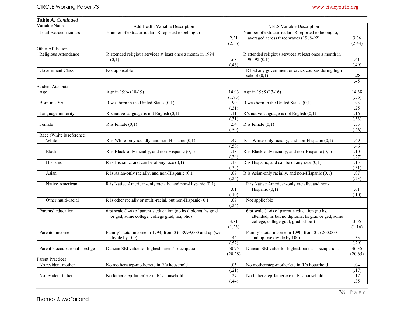| Table A. Continued             |                                                                                                                |         |                                                                                                                                              |         |
|--------------------------------|----------------------------------------------------------------------------------------------------------------|---------|----------------------------------------------------------------------------------------------------------------------------------------------|---------|
| Variable Name                  | Add Health Variable Description                                                                                |         | NELS Variable Description                                                                                                                    |         |
| Total Extracurriculars         | Number of extracurriculars R reported to belong to                                                             | 2.31    | Number of extracurriculars R reported to belong to,<br>averaged across three waves (1988-92)                                                 | 3.36    |
|                                |                                                                                                                | (2.56)  |                                                                                                                                              | (2.44)  |
| Other Affiliations             |                                                                                                                |         |                                                                                                                                              |         |
| Religious Attendance           | R attended religious services at least once a month in 1994<br>(0,1)                                           | .68     | R attended religious services at least once a month in<br>90, 92(0,1)                                                                        | .61     |
|                                |                                                                                                                | (.46)   |                                                                                                                                              | (.49)   |
| <b>Government Class</b>        | Not applicable                                                                                                 |         | R had any government or civics courses during high<br>school $(0,1)$                                                                         | .28     |
|                                |                                                                                                                |         |                                                                                                                                              | (.45)   |
| <b>Student Attributes</b>      |                                                                                                                |         |                                                                                                                                              |         |
| Age                            | Age in 1994 (10-19)                                                                                            | 14.93   | Age in 1988 (13-16)                                                                                                                          | 14.38   |
|                                |                                                                                                                | (1.73)  |                                                                                                                                              | (.56)   |
| Born in USA                    | R was born in the United States $(0,1)$                                                                        | .90     | R was born in the United States $(0,1)$                                                                                                      | .93     |
|                                |                                                                                                                | (.31)   |                                                                                                                                              | (.25)   |
| Language minority              | R's native language is not English $(0,1)$                                                                     | .11     | $\mathbb{R}$ 's native language is not English (0,1)                                                                                         | .16     |
|                                |                                                                                                                | (.31)   |                                                                                                                                              | (.33)   |
| Female                         | R is female $(0,1)$                                                                                            | .54     | R is female $(0,1)$                                                                                                                          | .53     |
|                                |                                                                                                                | (.50)   |                                                                                                                                              | (.46)   |
| Race (White is reference)      |                                                                                                                |         |                                                                                                                                              |         |
| White                          | R is White-only racially, and non-Hispanic $(0,1)$                                                             | .47     | $R$ is White-only racially, and non-Hispanic $(0,1)$                                                                                         | .69     |
|                                |                                                                                                                | (.50)   |                                                                                                                                              | (.46)   |
| <b>Black</b>                   | R is Black-only racially, and non-Hispanic $(0,1)$                                                             | $.18\,$ | $\overline{R}$ is Black-only racially, and non-Hispanic (0,1)                                                                                | $.10$   |
|                                |                                                                                                                | (.39)   |                                                                                                                                              | (.27)   |
| Hispanic                       | R is Hispanic, and can be of any race $(0,1)$                                                                  | .18     | R is Hispanic, and can be of any race $(0,1)$                                                                                                | .13     |
|                                |                                                                                                                | (0.39)  |                                                                                                                                              | (.31)   |
| Asian                          | R is Asian-only racially, and non-Hispanic $(0,1)$                                                             | .07     | R is Asian-only racially, and non-Hispanic $(0,1)$                                                                                           | .07     |
|                                |                                                                                                                | (.25)   |                                                                                                                                              | (.23)   |
| Native American                | R is Native American-only racially, and non-Hispanic $(0,1)$                                                   |         | R is Native American-only racially, and non-                                                                                                 |         |
|                                |                                                                                                                | .01     | Hispanic $(0,1)$                                                                                                                             | .01     |
|                                |                                                                                                                | (.10)   |                                                                                                                                              | (.10)   |
| Other multi-racial             | $R$ is other racially or multi-racial, but non-Hispanic $(0,1)$                                                | .07     | Not applicable                                                                                                                               |         |
|                                |                                                                                                                | (.26)   |                                                                                                                                              |         |
| Parents' education             | 6 pt scale (1-6) of parent's education (no hs diploma, hs grad<br>or ged, some college, college grad, ma, phd) | 3.81    | 6 pt scale $(1-6)$ of parent's education (no hs,<br>attended, hs but no diploma, hs grad or ged, some<br>college, college grad, grad school) | 3.05    |
|                                |                                                                                                                | (1.23)  |                                                                                                                                              | (1.16)  |
| Parents' income                | Family's total income in 1994, from 0 to \$999,000 and up (we<br>divide by 100)                                | .46     | Family's total income in 1990, from 0 to 200,000<br>and up (we divide by 100)                                                                | .33     |
|                                |                                                                                                                | (.52)   |                                                                                                                                              | (29)    |
| Parent's occupational prestige | Duncan SEI value for highest parent's occupation.                                                              | 50.75   | Duncan SEI value for highest parent's occupation.                                                                                            | 46.35   |
|                                |                                                                                                                | (20.28) |                                                                                                                                              | (20.65) |
| Parent Practices               |                                                                                                                |         |                                                                                                                                              |         |
| No resident mother             | No mother\step-mother\etc in R's household                                                                     | .05     | No mother\step-mother\etc in R's household                                                                                                   | .04     |
|                                |                                                                                                                | (.21)   |                                                                                                                                              | (.17)   |
| No resident father             | No father\step-father\etc in R's household                                                                     | .27     | No father\step-father\etc in R's household                                                                                                   | .17     |
|                                |                                                                                                                | (.44)   |                                                                                                                                              | (.35)   |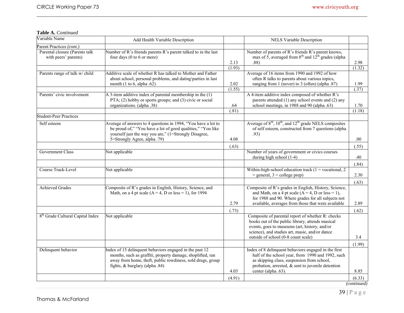# **Table A.** *Continued*

| Parent Practices (cont.)<br>Number of R's friends parents R's parent talked to in the last<br>Number of parents of R's friends R's parent knows,<br>Parental closure (Parents talk<br>max of 5, averaged from $8^{th}$ and $12^{th}$ grades (alpha<br>four days (0 to 6 or more)<br>with peers' parents)<br>2.13<br>.88)<br>2.98<br>(1.93)<br>(1.32)<br>Additive scale of whether R has talked to Mother and Father<br>Parents range of talk w/ child<br>Average of 16 items from 1990 and 1992 of how<br>often R talks to parents about various topics,<br>about school, personal problems, and dating\parties in last<br>2.02<br>ranging from 1 (never) to 3 (often) (alpha .87)<br>month $(1 \text{ to } 6, \text{ alpha } .62)$<br>1.99<br>(1.55)<br>(37)<br>A 3-item additive index of parental membership in the $(1)$<br>A 4-item additive index composed of whether R's<br>Parents' civic involvement<br>PTA; (2) hobby or sports groups; and (3) civic or social<br>parents attended (1) any school events and (2) any<br>organizations. (alpha .38)<br>school meetings, in 1988 and 90 (alpha .63)<br>.64<br>1.70<br>(.81)<br>(1.18)<br>Average of $8^{\text{th}}$ , $10^{\text{th}}$ , and $12^{\text{th}}$ grade NELS composites<br>Self esteem<br>Average of answers to 4 questions in 1994, "You have a lot to<br>be proud of," "You have a lot of good qualities," "You like<br>of self esteem, constructed from 7 questions (alpha<br>yourself just the way you are," (1=Strongly Disagree,<br>.93)<br>5=Strongly Agree, alpha .79)<br>4.08<br>.00<br>(.63)<br>(.55)<br>Government Class<br>Not applicable<br>Number of years of government or civics courses<br>during high school (1-4)<br>.40<br>(.84)<br>Course Track-Level<br>Not applicable<br>Within-high-school education track $(1 =$ vocational, 2<br>$=$ general, $3 =$ college prep)<br>2.30<br>(.63)<br>Composite of R's grades in English, History, Science, and<br>Composite of R's grades in English, History, Science,<br><b>Achieved Grades</b><br>and Math, on a 4 pt scale $(A = 4, D \text{ or } less = 1)$ ,<br>Math, on a 4 pt scale $(A = 4, D \text{ or } less = 1)$ , for 1994<br>for 1988 and 90. Where grades for all subjects not<br>2.79<br>available, averages from those that were available<br>2.89<br>(.73)<br>(.62)<br>8 <sup>th</sup> Grade Cultural Capital Index<br>Not applicable<br>Composite of parental report of whether R: checks<br>books out of the public library, attends musical<br>events, goes to museums (art, history, and/or<br>science), and studies art, music, and/or dance<br>outside of school (0-8 count scale)<br>3.4<br>(1.99)<br>Index of 15 delinquent behaviors engaged in the past 12<br>Delinquent behavior<br>Index of 8 delinquent behaviors engaged in the first<br>months, such as graffiti, property damage, shoplifted, ran<br>half of the school year, from 1990 and 1992, such<br>away from home, theft, public rowdiness, sold drugs, group<br>as skipping class, suspension from school,<br>fights, & burglary (alpha .84)<br>probation, arrested, $\&$ sent to juvenile detention<br>8.85<br>4.03<br>center (alpha .63).<br>(4.91)<br>(6.33) | Variable Name                 | Add Health Variable Description | NELS Variable Description |  |
|--------------------------------------------------------------------------------------------------------------------------------------------------------------------------------------------------------------------------------------------------------------------------------------------------------------------------------------------------------------------------------------------------------------------------------------------------------------------------------------------------------------------------------------------------------------------------------------------------------------------------------------------------------------------------------------------------------------------------------------------------------------------------------------------------------------------------------------------------------------------------------------------------------------------------------------------------------------------------------------------------------------------------------------------------------------------------------------------------------------------------------------------------------------------------------------------------------------------------------------------------------------------------------------------------------------------------------------------------------------------------------------------------------------------------------------------------------------------------------------------------------------------------------------------------------------------------------------------------------------------------------------------------------------------------------------------------------------------------------------------------------------------------------------------------------------------------------------------------------------------------------------------------------------------------------------------------------------------------------------------------------------------------------------------------------------------------------------------------------------------------------------------------------------------------------------------------------------------------------------------------------------------------------------------------------------------------------------------------------------------------------------------------------------------------------------------------------------------------------------------------------------------------------------------------------------------------------------------------------------------------------------------------------------------------------------------------------------------------------------------------------------------------------------------------------------------------------------------------------------------------------------------------------------------------------------------------------------------------------------------------------------------------------------------------------------------------------------------------------------------------------------------------------------------------------------------|-------------------------------|---------------------------------|---------------------------|--|
|                                                                                                                                                                                                                                                                                                                                                                                                                                                                                                                                                                                                                                                                                                                                                                                                                                                                                                                                                                                                                                                                                                                                                                                                                                                                                                                                                                                                                                                                                                                                                                                                                                                                                                                                                                                                                                                                                                                                                                                                                                                                                                                                                                                                                                                                                                                                                                                                                                                                                                                                                                                                                                                                                                                                                                                                                                                                                                                                                                                                                                                                                                                                                                                            |                               |                                 |                           |  |
|                                                                                                                                                                                                                                                                                                                                                                                                                                                                                                                                                                                                                                                                                                                                                                                                                                                                                                                                                                                                                                                                                                                                                                                                                                                                                                                                                                                                                                                                                                                                                                                                                                                                                                                                                                                                                                                                                                                                                                                                                                                                                                                                                                                                                                                                                                                                                                                                                                                                                                                                                                                                                                                                                                                                                                                                                                                                                                                                                                                                                                                                                                                                                                                            |                               |                                 |                           |  |
|                                                                                                                                                                                                                                                                                                                                                                                                                                                                                                                                                                                                                                                                                                                                                                                                                                                                                                                                                                                                                                                                                                                                                                                                                                                                                                                                                                                                                                                                                                                                                                                                                                                                                                                                                                                                                                                                                                                                                                                                                                                                                                                                                                                                                                                                                                                                                                                                                                                                                                                                                                                                                                                                                                                                                                                                                                                                                                                                                                                                                                                                                                                                                                                            |                               |                                 |                           |  |
|                                                                                                                                                                                                                                                                                                                                                                                                                                                                                                                                                                                                                                                                                                                                                                                                                                                                                                                                                                                                                                                                                                                                                                                                                                                                                                                                                                                                                                                                                                                                                                                                                                                                                                                                                                                                                                                                                                                                                                                                                                                                                                                                                                                                                                                                                                                                                                                                                                                                                                                                                                                                                                                                                                                                                                                                                                                                                                                                                                                                                                                                                                                                                                                            |                               |                                 |                           |  |
|                                                                                                                                                                                                                                                                                                                                                                                                                                                                                                                                                                                                                                                                                                                                                                                                                                                                                                                                                                                                                                                                                                                                                                                                                                                                                                                                                                                                                                                                                                                                                                                                                                                                                                                                                                                                                                                                                                                                                                                                                                                                                                                                                                                                                                                                                                                                                                                                                                                                                                                                                                                                                                                                                                                                                                                                                                                                                                                                                                                                                                                                                                                                                                                            |                               |                                 |                           |  |
|                                                                                                                                                                                                                                                                                                                                                                                                                                                                                                                                                                                                                                                                                                                                                                                                                                                                                                                                                                                                                                                                                                                                                                                                                                                                                                                                                                                                                                                                                                                                                                                                                                                                                                                                                                                                                                                                                                                                                                                                                                                                                                                                                                                                                                                                                                                                                                                                                                                                                                                                                                                                                                                                                                                                                                                                                                                                                                                                                                                                                                                                                                                                                                                            | <b>Student-Peer Practices</b> |                                 |                           |  |
|                                                                                                                                                                                                                                                                                                                                                                                                                                                                                                                                                                                                                                                                                                                                                                                                                                                                                                                                                                                                                                                                                                                                                                                                                                                                                                                                                                                                                                                                                                                                                                                                                                                                                                                                                                                                                                                                                                                                                                                                                                                                                                                                                                                                                                                                                                                                                                                                                                                                                                                                                                                                                                                                                                                                                                                                                                                                                                                                                                                                                                                                                                                                                                                            |                               |                                 |                           |  |
|                                                                                                                                                                                                                                                                                                                                                                                                                                                                                                                                                                                                                                                                                                                                                                                                                                                                                                                                                                                                                                                                                                                                                                                                                                                                                                                                                                                                                                                                                                                                                                                                                                                                                                                                                                                                                                                                                                                                                                                                                                                                                                                                                                                                                                                                                                                                                                                                                                                                                                                                                                                                                                                                                                                                                                                                                                                                                                                                                                                                                                                                                                                                                                                            |                               |                                 |                           |  |
|                                                                                                                                                                                                                                                                                                                                                                                                                                                                                                                                                                                                                                                                                                                                                                                                                                                                                                                                                                                                                                                                                                                                                                                                                                                                                                                                                                                                                                                                                                                                                                                                                                                                                                                                                                                                                                                                                                                                                                                                                                                                                                                                                                                                                                                                                                                                                                                                                                                                                                                                                                                                                                                                                                                                                                                                                                                                                                                                                                                                                                                                                                                                                                                            |                               |                                 |                           |  |
|                                                                                                                                                                                                                                                                                                                                                                                                                                                                                                                                                                                                                                                                                                                                                                                                                                                                                                                                                                                                                                                                                                                                                                                                                                                                                                                                                                                                                                                                                                                                                                                                                                                                                                                                                                                                                                                                                                                                                                                                                                                                                                                                                                                                                                                                                                                                                                                                                                                                                                                                                                                                                                                                                                                                                                                                                                                                                                                                                                                                                                                                                                                                                                                            |                               |                                 |                           |  |
|                                                                                                                                                                                                                                                                                                                                                                                                                                                                                                                                                                                                                                                                                                                                                                                                                                                                                                                                                                                                                                                                                                                                                                                                                                                                                                                                                                                                                                                                                                                                                                                                                                                                                                                                                                                                                                                                                                                                                                                                                                                                                                                                                                                                                                                                                                                                                                                                                                                                                                                                                                                                                                                                                                                                                                                                                                                                                                                                                                                                                                                                                                                                                                                            |                               |                                 |                           |  |
|                                                                                                                                                                                                                                                                                                                                                                                                                                                                                                                                                                                                                                                                                                                                                                                                                                                                                                                                                                                                                                                                                                                                                                                                                                                                                                                                                                                                                                                                                                                                                                                                                                                                                                                                                                                                                                                                                                                                                                                                                                                                                                                                                                                                                                                                                                                                                                                                                                                                                                                                                                                                                                                                                                                                                                                                                                                                                                                                                                                                                                                                                                                                                                                            |                               |                                 |                           |  |
|                                                                                                                                                                                                                                                                                                                                                                                                                                                                                                                                                                                                                                                                                                                                                                                                                                                                                                                                                                                                                                                                                                                                                                                                                                                                                                                                                                                                                                                                                                                                                                                                                                                                                                                                                                                                                                                                                                                                                                                                                                                                                                                                                                                                                                                                                                                                                                                                                                                                                                                                                                                                                                                                                                                                                                                                                                                                                                                                                                                                                                                                                                                                                                                            |                               |                                 |                           |  |
|                                                                                                                                                                                                                                                                                                                                                                                                                                                                                                                                                                                                                                                                                                                                                                                                                                                                                                                                                                                                                                                                                                                                                                                                                                                                                                                                                                                                                                                                                                                                                                                                                                                                                                                                                                                                                                                                                                                                                                                                                                                                                                                                                                                                                                                                                                                                                                                                                                                                                                                                                                                                                                                                                                                                                                                                                                                                                                                                                                                                                                                                                                                                                                                            |                               |                                 |                           |  |
|                                                                                                                                                                                                                                                                                                                                                                                                                                                                                                                                                                                                                                                                                                                                                                                                                                                                                                                                                                                                                                                                                                                                                                                                                                                                                                                                                                                                                                                                                                                                                                                                                                                                                                                                                                                                                                                                                                                                                                                                                                                                                                                                                                                                                                                                                                                                                                                                                                                                                                                                                                                                                                                                                                                                                                                                                                                                                                                                                                                                                                                                                                                                                                                            |                               |                                 |                           |  |
|                                                                                                                                                                                                                                                                                                                                                                                                                                                                                                                                                                                                                                                                                                                                                                                                                                                                                                                                                                                                                                                                                                                                                                                                                                                                                                                                                                                                                                                                                                                                                                                                                                                                                                                                                                                                                                                                                                                                                                                                                                                                                                                                                                                                                                                                                                                                                                                                                                                                                                                                                                                                                                                                                                                                                                                                                                                                                                                                                                                                                                                                                                                                                                                            |                               |                                 |                           |  |
|                                                                                                                                                                                                                                                                                                                                                                                                                                                                                                                                                                                                                                                                                                                                                                                                                                                                                                                                                                                                                                                                                                                                                                                                                                                                                                                                                                                                                                                                                                                                                                                                                                                                                                                                                                                                                                                                                                                                                                                                                                                                                                                                                                                                                                                                                                                                                                                                                                                                                                                                                                                                                                                                                                                                                                                                                                                                                                                                                                                                                                                                                                                                                                                            |                               |                                 |                           |  |
|                                                                                                                                                                                                                                                                                                                                                                                                                                                                                                                                                                                                                                                                                                                                                                                                                                                                                                                                                                                                                                                                                                                                                                                                                                                                                                                                                                                                                                                                                                                                                                                                                                                                                                                                                                                                                                                                                                                                                                                                                                                                                                                                                                                                                                                                                                                                                                                                                                                                                                                                                                                                                                                                                                                                                                                                                                                                                                                                                                                                                                                                                                                                                                                            |                               |                                 |                           |  |

 $\_$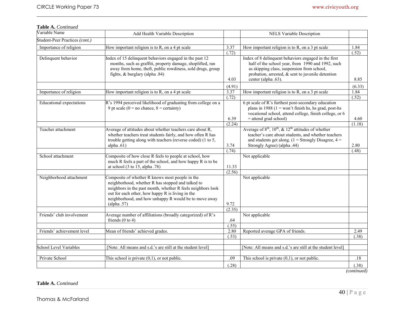# **Table A.** *Continued*

| Variable Name                   | Add Health Variable Description                                                                                                                                                                                                                                                                 |                 | <b>NELS Variable Description</b>                                                                                                                                                                                                            |               |
|---------------------------------|-------------------------------------------------------------------------------------------------------------------------------------------------------------------------------------------------------------------------------------------------------------------------------------------------|-----------------|---------------------------------------------------------------------------------------------------------------------------------------------------------------------------------------------------------------------------------------------|---------------|
| Student-Peer Practices (cont.)  |                                                                                                                                                                                                                                                                                                 |                 |                                                                                                                                                                                                                                             |               |
| Importance of religion          | How important religion is to R, on a 4 pt scale                                                                                                                                                                                                                                                 | 3.37            | How important religion is to R, on a $3$ pt scale                                                                                                                                                                                           | 1.84          |
|                                 |                                                                                                                                                                                                                                                                                                 | (.72)           |                                                                                                                                                                                                                                             | (.52)         |
| Delinquent behavior             | Index of 15 delinquent behaviors engaged in the past 12<br>months, such as graffiti, property damage, shoplifted, ran<br>away from home, theft, public rowdiness, sold drugs, group<br>fights, $&$ burglary (alpha .84)                                                                         | 4.03            | Index of 8 delinquent behaviors engaged in the first<br>half of the school year, from 1990 and 1992, such<br>as skipping class, suspension from school,<br>probation, arrested, $\&$ sent to juvenile detention<br>center (alpha .63).      | 8.85          |
|                                 |                                                                                                                                                                                                                                                                                                 | (4.91)          |                                                                                                                                                                                                                                             | (6.33)        |
| Importance of religion          | How important religion is to R, on a 4 pt scale                                                                                                                                                                                                                                                 | 3.37            | How important religion is to R, on a $3$ pt scale                                                                                                                                                                                           | 1.84          |
|                                 |                                                                                                                                                                                                                                                                                                 | (.72)           |                                                                                                                                                                                                                                             | (.52)         |
| <b>Educational expectations</b> | R's 1994 perceived likelihood of graduating from college on a<br>9 pt scale ( $0 =$ no chance, $8 =$ certainty)                                                                                                                                                                                 | 6.39            | 6 pt scale of R's furthest post-secondary education<br>plans in 1988 $(1 = \text{won't finish hs}, \text{hs grad}, \text{post-hs})$<br>vocational school, attend college, finish college, or 6<br>$=$ attend grad school)                   | 4.60          |
|                                 |                                                                                                                                                                                                                                                                                                 | (2.24)          |                                                                                                                                                                                                                                             | (1.18)        |
| Teacher attachment              | Average of attitudes about whether teachers care about R,<br>whether teachers treat students fairly, and how often R has<br>trouble getting along with teachers (reverse coded) (1 to 5,<br>alpha $.61)$                                                                                        | 3.74            | Average of $8^{\text{th}}$ , $10^{\text{th}}$ , $\&$ $12^{\text{th}}$ attitudes of whether<br>teacher's care about students, and whether teachers<br>and students get along. $(1 =$ Strongly Disagree, $4 =$<br>Strongly Agree) (alpha .44) | 2.80          |
|                                 |                                                                                                                                                                                                                                                                                                 | (.74)           |                                                                                                                                                                                                                                             | (.48)         |
| School attachment               | Composite of how close R feels to people at school, how<br>much R feels a part of the school, and how happy R is to be<br>at school $(3 \text{ to } 15, \text{alpha } .78)$                                                                                                                     | 11.33<br>(2.56) | Not applicable                                                                                                                                                                                                                              |               |
| Neighborhood attachment         | Composite of whether R knows most people in the<br>neighborhood, whether R has stopped and talked to<br>neighbors in the past month, whether R feels neighbors look<br>out for each other, how happy R is living in the<br>neighborhood, and how unhappy R would be to move away<br>(alpha .57) | 9.72<br>(2.35)  | Not applicable                                                                                                                                                                                                                              |               |
| Friends' club involvement       | Average number of affiliations (broadly categorized) of R's<br>friends $(0 to 4)$                                                                                                                                                                                                               | .64             | Not applicable                                                                                                                                                                                                                              |               |
|                                 |                                                                                                                                                                                                                                                                                                 | (.55)           |                                                                                                                                                                                                                                             |               |
| Friends' achievement level      | Mean of friends' achieved grades.                                                                                                                                                                                                                                                               | 2.80<br>(.53)   | Reported average GPA of friends.                                                                                                                                                                                                            | 2.49<br>(.38) |
|                                 |                                                                                                                                                                                                                                                                                                 |                 |                                                                                                                                                                                                                                             |               |
| School Level Variables          | [Note: All means and s.d.'s are still at the student level]                                                                                                                                                                                                                                     |                 | [Note: All means and s.d.'s are still at the student level]                                                                                                                                                                                 |               |
| Private School                  | This school is private $(0,1)$ , or not public.                                                                                                                                                                                                                                                 | .09             | This school is private $(0,1)$ , or not public.                                                                                                                                                                                             | $.18$         |
|                                 |                                                                                                                                                                                                                                                                                                 | (.28)           |                                                                                                                                                                                                                                             | (.38)         |

 $\_$ 

*(continued)* 

**Table A.** *Continued*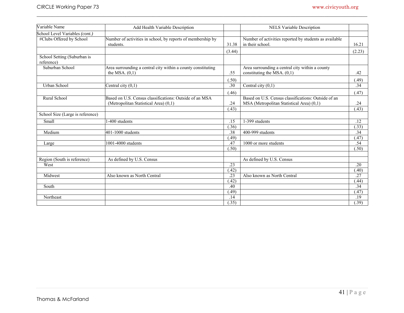| Variable Name                             | Add Health Variable Description                                                  |                  | <b>NELS Variable Description</b>                                                 |        |
|-------------------------------------------|----------------------------------------------------------------------------------|------------------|----------------------------------------------------------------------------------|--------|
| School Level Variables (cont.)            |                                                                                  |                  |                                                                                  |        |
| #Clubs Offered by School                  | Number of activities in school, by reports of membership by<br>students.         | 31.38            | Number of activities reported by students as available<br>in their school.       | 16.21  |
|                                           |                                                                                  | (3.44)           |                                                                                  | (2.23) |
| School Setting (Suburban is<br>reference) |                                                                                  |                  |                                                                                  |        |
| Suburban School                           | Area surrounding a central city within a county constituting<br>the MSA. $(0,1)$ | .55              | Area surrounding a central city within a county<br>constituting the MSA. $(0,1)$ | .42    |
|                                           |                                                                                  | (.50)            |                                                                                  | (.49)  |
| <b>Urban School</b>                       | Central city $(0,1)$                                                             | .30              | Central city $(0,1)$                                                             | .34    |
|                                           |                                                                                  | (.46)            |                                                                                  | (.47)  |
| Rural School                              | Based on U.S. Census classifications: Outside of an MSA                          |                  | Based on U.S. Census classifications: Outside of an                              |        |
|                                           | (Metropolitan Statistical Area) (0,1)                                            | .24              | MSA (Metropolitan Statistical Area) (0,1)                                        | .24    |
|                                           |                                                                                  | (.43)            |                                                                                  | (.43)  |
| School Size (Large is reference)          |                                                                                  |                  |                                                                                  |        |
| Small                                     | -400 students                                                                    | .15              | 1-399 students                                                                   | .12    |
|                                           |                                                                                  | (.36)            |                                                                                  | (.33)  |
| Medium                                    | $401-1000$ students                                                              | .38              | 400-999 students                                                                 | .34    |
|                                           |                                                                                  | (.49)            |                                                                                  | (.47)  |
| Large                                     | $\overline{1001}$ -4000 students                                                 | .47              | 1000 or more students                                                            | .54    |
|                                           |                                                                                  | (.50)            |                                                                                  | (.50)  |
| Region (South is reference)               | As defined by U.S. Census                                                        |                  | As defined by U.S. Census                                                        |        |
| West                                      |                                                                                  | .23              |                                                                                  | .20    |
|                                           |                                                                                  | (42)             |                                                                                  | (.40)  |
| Midwest                                   | Also known as North Central                                                      | $\overline{.23}$ | Also known as North Central                                                      | .27    |
|                                           |                                                                                  | (.42)            |                                                                                  | (.44)  |
| South                                     |                                                                                  | .40              |                                                                                  | .34    |
|                                           |                                                                                  | (49)             |                                                                                  | (.47)  |
| Northeast                                 |                                                                                  | .14              |                                                                                  | .19    |
|                                           |                                                                                  | (.35)            |                                                                                  | (.39)  |